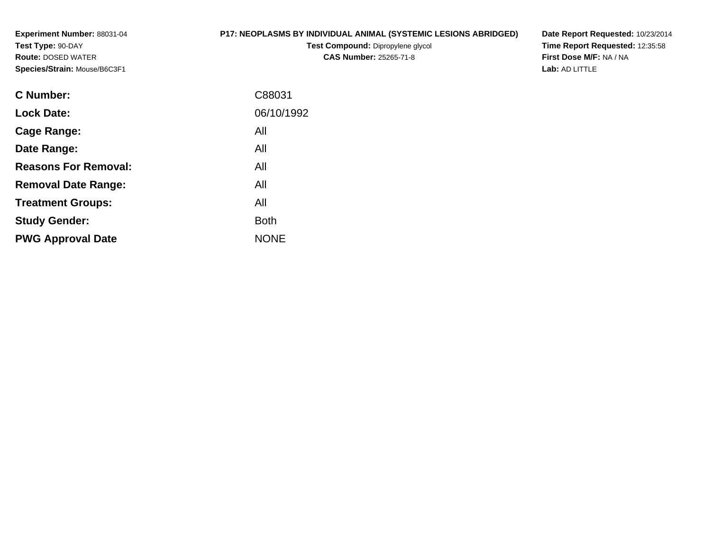**Experiment Number:** 88031-04**Test Type:** 90-DAY **Route:** DOSED WATER**Species/Strain:** Mouse/B6C3F1

## **P17: NEOPLASMS BY INDIVIDUAL ANIMAL (SYSTEMIC LESIONS ABRIDGED)**

**Test Compound:** Dipropylene glycol **CAS Number:** 25265-71-8

**Date Report Requested:** 10/23/2014 **Time Report Requested:** 12:35:58**First Dose M/F:** NA / NA**Lab:** AD LITTLE

| C88031      |
|-------------|
| 06/10/1992  |
| All         |
| All         |
| All         |
| All         |
| All         |
| Both        |
| <b>NONE</b> |
|             |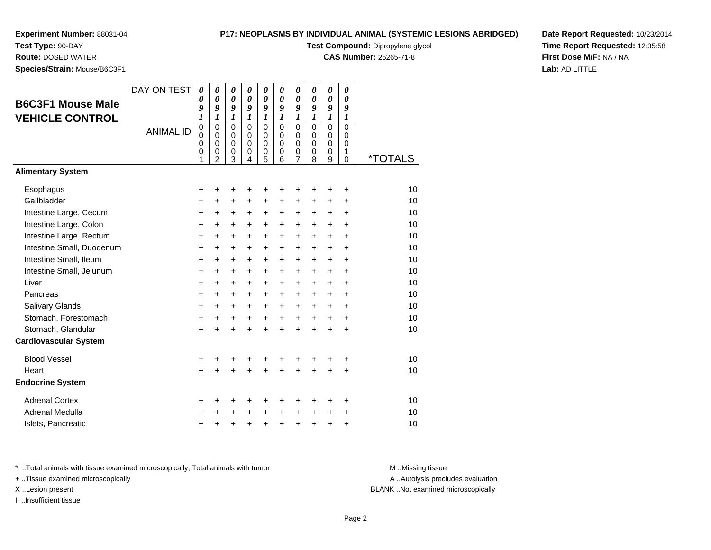# **P17: NEOPLASMS BY INDIVIDUAL ANIMAL (SYSTEMIC LESIONS ABRIDGED)**

0<br>0<br>0<br>0<br>9

0<br>0<br>0<br>0<br>0<br>8

0<br>0<br>6<br>6

0<br>0<br>0<br>5<br>5

**Test Compound:** Dipropylene glycol

0 \*TOTALS

**CAS Number:** 25265-71-8

**Date Report Requested:** 10/23/2014**Time Report Requested:** 12:35:58**First Dose M/F:** NA / NA**Lab:** AD LITTLE

| Test Type: 90-DAY            |                  |                  |                  |        |        |
|------------------------------|------------------|------------------|------------------|--------|--------|
| <b>Route: DOSED WATER</b>    |                  |                  |                  |        |        |
| Species/Strain: Mouse/B6C3F1 |                  |                  |                  |        |        |
|                              | DAY ON TEST      |                  | 0                | 0      | 0      |
| <b>B6C3F1 Mouse Male</b>     |                  |                  | $\pmb{\theta}$   |        | 0      |
|                              |                  | 9                | $\boldsymbol{g}$ | 9      | 9      |
| <b>VEHICLE CONTROL</b>       |                  | $\boldsymbol{l}$ | 1                |        |        |
|                              | <b>ANIMAL ID</b> | Ω                | 0                | 0      | 0      |
|                              |                  | 0                | 0                | 0      | 0      |
|                              |                  | 0<br>0           | 0<br>0           | 0      | 0<br>0 |
|                              |                  |                  | 2                | 0<br>3 | 4      |
| <b>Alimentary System</b>     |                  |                  |                  |        |        |
|                              |                  |                  |                  |        |        |

| Esophagus                    | $\ddot{}$ | +         |           |           |           |           |           |           |           | ٠         | 10 |
|------------------------------|-----------|-----------|-----------|-----------|-----------|-----------|-----------|-----------|-----------|-----------|----|
| Gallbladder                  | +         | +         | $\ddot{}$ | $\ddot{}$ | $\ddot{}$ | $\ddot{}$ | $\ddot{}$ | $\ddot{}$ | $\ddot{}$ | $\ddot{}$ | 10 |
| Intestine Large, Cecum       | $\ddot{}$ | $\ddot{}$ | $\ddot{}$ | $\ddot{}$ | $\ddot{}$ | $\ddot{}$ | $\ddot{}$ | $\ddot{}$ | $\ddot{}$ | $\ddot{}$ | 10 |
| Intestine Large, Colon       | +         | +         | +         | $\ddot{}$ | $\ddot{}$ | +         | +         | +         | +         | $\ddot{}$ | 10 |
| Intestine Large, Rectum      | +         | $\ddot{}$ | $\ddot{}$ | $\ddot{}$ | $+$       | $\ddot{}$ | $\ddot{}$ | $\ddot{}$ | $\ddot{}$ | $\ddot{}$ | 10 |
| Intestine Small, Duodenum    | $\ddot{}$ | $\ddot{}$ | $\ddot{}$ | $\pm$     | $\ddot{}$ | $\ddot{}$ | $\ddot{}$ | $\ddot{}$ | $\ddot{}$ | $\pm$     | 10 |
| Intestine Small, Ileum       | +         | +         | +         | $\ddot{}$ | $\ddot{}$ | +         | $\ddot{}$ | +         | +         | $\ddot{}$ | 10 |
| Intestine Small, Jejunum     | +         | +         | $\ddot{}$ | $\ddot{}$ | $\ddot{}$ | $\ddot{}$ | $\ddot{}$ | $\ddot{}$ | $\ddot{}$ | $\ddot{}$ | 10 |
| Liver                        | $\ddot{}$ | $\ddot{}$ | $\ddot{}$ | $\ddot{}$ | $\ddot{}$ | $\ddot{}$ | $\ddot{}$ | $\ddot{}$ | $\ddot{}$ | $\ddot{}$ | 10 |
| Pancreas                     | +         | +         | $\ddot{}$ | $\ddot{}$ | $\ddot{}$ | +         | $\ddot{}$ | $\ddot{}$ | $\ddot{}$ | $\ddot{}$ | 10 |
| Salivary Glands              | $\ddot{}$ | $\ddot{}$ | $+$       | $\ddot{}$ | $\ddot{}$ | $\ddot{}$ | $\ddot{}$ | $\ddot{}$ | $\ddot{}$ | $\ddot{}$ | 10 |
| Stomach, Forestomach         | $\ddot{}$ | $\ddot{}$ | $\ddot{}$ | $\ddot{}$ | $\ddot{}$ | $\ddot{}$ | $\ddot{}$ | $\ddot{}$ | $\ddot{}$ | $\ddot{}$ | 10 |
| Stomach, Glandular           | $\ddot{}$ | $\ddot{}$ | $\ddot{}$ | $\ddot{}$ | $\ddot{}$ | $\ddot{}$ | $\ddot{}$ | $+$       | $\ddot{}$ | $\ddot{}$ | 10 |
| <b>Cardiovascular System</b> |           |           |           |           |           |           |           |           |           |           |    |
| <b>Blood Vessel</b>          | +         |           |           |           | +         |           | +         |           |           | +         | 10 |
| Heart                        | $+$       | $\div$    | $\ddot{}$ | $\div$    | $\pm$     | $\ddot{}$ | +         | $\ddot{}$ | $\ddot{}$ | $\ddot{}$ | 10 |
| <b>Endocrine System</b>      |           |           |           |           |           |           |           |           |           |           |    |
| <b>Adrenal Cortex</b>        | +         | +         |           |           | +         |           | +         |           | ٠         | ÷         | 10 |
| Adrenal Medulla              | +         | ٠         | +         | $\ddot{}$ | $\ddot{}$ | $\ddot{}$ | $\ddot{}$ | $\ddot{}$ | $\ddot{}$ | $\ddot{}$ | 10 |
| Islets, Pancreatic           | $\ddot{}$ |           |           |           | +         | +         | +         | +         | +         | +         | 10 |
|                              |           |           |           |           |           |           |           |           |           |           |    |

\* ..Total animals with tissue examined microscopically; Total animals with tumor **M** ...Missing tissue M ...Missing tissue

+ ..Tissue examined microscopically

I ..Insufficient tissue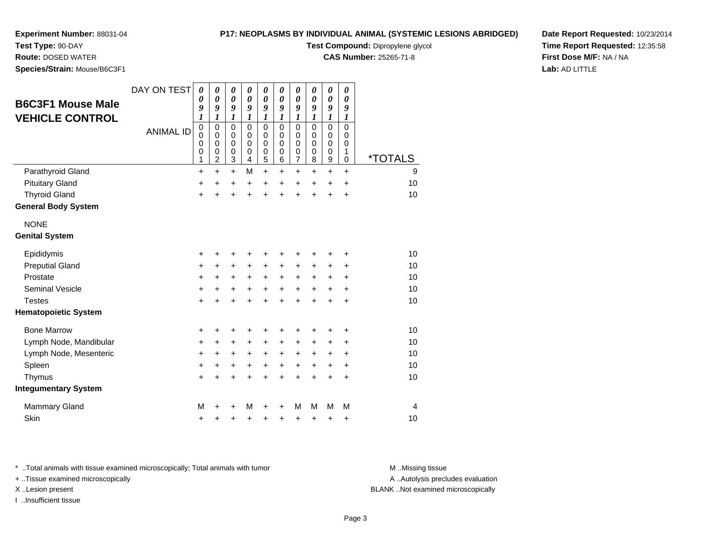## **P17: NEOPLASMS BY INDIVIDUAL ANIMAL (SYSTEMIC LESIONS ABRIDGED)**

**Test Compound:** Dipropylene glycol

**CAS Number:** 25265-71-8

**Date Report Requested:** 10/23/2014**Time Report Requested:** 12:35:58**First Dose M/F:** NA / NA**Lab:** AD LITTLE

**Test Type:** 90-DAY**Route:** DOSED WATER

**Species/Strain:** Mouse/B6C3F1

|                             | DAY ON TEST      | $\boldsymbol{\theta}$      | $\boldsymbol{\theta}$ | $\boldsymbol{\theta}$      | 0                     | $\pmb{\theta}$             | 0                     | $\pmb{\theta}$        | 0                          | 0                     | 0                     |                       |
|-----------------------------|------------------|----------------------------|-----------------------|----------------------------|-----------------------|----------------------------|-----------------------|-----------------------|----------------------------|-----------------------|-----------------------|-----------------------|
| <b>B6C3F1 Mouse Male</b>    |                  | $\boldsymbol{\theta}$      | $\boldsymbol{\theta}$ | $\pmb{\theta}$             | $\boldsymbol{\theta}$ | $\boldsymbol{\theta}$      | $\boldsymbol{\theta}$ | $\boldsymbol{\theta}$ | $\boldsymbol{\theta}$      | $\boldsymbol{\theta}$ | $\boldsymbol{\theta}$ |                       |
| <b>VEHICLE CONTROL</b>      |                  | 9<br>1                     | 9<br>1                | 9<br>$\boldsymbol{l}$      | 9<br>$\boldsymbol{l}$ | 9<br>$\boldsymbol{l}$      | 9<br>$\boldsymbol{l}$ | 9<br>$\boldsymbol{l}$ | 9<br>$\boldsymbol{l}$      | 9<br>$\boldsymbol{l}$ | 9<br>1                |                       |
|                             | <b>ANIMAL ID</b> | $\pmb{0}$                  | $\mathbf 0$           | $\mathbf 0$                | $\mathbf 0$           | $\mathbf 0$                | $\mathbf 0$           | $\mathbf 0$           | 0                          | $\mathbf 0$           | $\mathbf 0$           |                       |
|                             |                  | $\mathbf 0$<br>$\mathbf 0$ | 0<br>$\mathbf 0$      | $\mathbf 0$<br>$\mathbf 0$ | 0<br>$\Omega$         | $\mathbf 0$<br>$\mathbf 0$ | 0<br>0                | 0<br>0                | $\mathbf 0$<br>$\mathbf 0$ | 0<br>0                | 0<br>0                |                       |
|                             |                  | $\mathbf 0$                | $\mathbf 0$           | $\pmb{0}$                  | 0                     | 0                          | 0                     | $\pmb{0}$             | 0                          | 0                     | 1                     |                       |
|                             |                  | 1                          | $\overline{c}$        | 3                          | 4                     | 5                          | 6                     | $\overline{7}$        | 8                          | $\boldsymbol{9}$      | 0                     | <i><b>*TOTALS</b></i> |
| Parathyroid Gland           |                  | $\ddot{}$                  | $\ddot{}$             | $\ddot{}$                  | M                     | $\ddot{}$                  | +                     | +                     | $\pm$                      | $\ddot{}$             | $\ddot{}$             | 9                     |
| <b>Pituitary Gland</b>      |                  | $\ddot{}$                  | $\ddot{}$             | $\ddot{}$                  | $\ddot{}$             | $\ddot{}$                  | $\ddot{}$             | $\ddot{}$             | $\ddot{}$                  | $\ddot{}$             | $\ddot{}$             | 10                    |
| <b>Thyroid Gland</b>        |                  | $\ddot{}$                  |                       | $\ddot{}$                  | $\ddot{}$             | $\ddot{}$                  | $\ddot{}$             | $\ddot{}$             | +                          | $\ddot{}$             | $\ddot{}$             | 10                    |
| <b>General Body System</b>  |                  |                            |                       |                            |                       |                            |                       |                       |                            |                       |                       |                       |
| <b>NONE</b>                 |                  |                            |                       |                            |                       |                            |                       |                       |                            |                       |                       |                       |
| <b>Genital System</b>       |                  |                            |                       |                            |                       |                            |                       |                       |                            |                       |                       |                       |
| Epididymis                  |                  | +                          |                       |                            |                       | +                          | +                     | +                     |                            |                       | +                     | 10                    |
| <b>Preputial Gland</b>      |                  | +                          | +                     | $\ddot{}$                  | +                     | +                          | +                     | +                     | +                          | +                     | +                     | 10                    |
| Prostate                    |                  | +                          | +                     | $\ddot{}$                  | $\ddot{}$             | $\ddot{}$                  | +                     | $\ddot{}$             | +                          | +                     | +                     | 10                    |
| <b>Seminal Vesicle</b>      |                  | +                          | +                     | +                          | +                     | +                          | +                     | +                     | $\ddot{}$                  | +                     | +                     | 10                    |
| <b>Testes</b>               |                  | +                          |                       | +                          | +                     | +                          | $\ddot{}$             | $\ddot{}$             | $\ddot{}$                  | $\ddot{}$             | $\ddot{}$             | 10                    |
| <b>Hematopoietic System</b> |                  |                            |                       |                            |                       |                            |                       |                       |                            |                       |                       |                       |
| <b>Bone Marrow</b>          |                  | +                          | +                     | +                          | +                     | +                          | +                     | +                     | +                          | +                     | +                     | 10                    |
| Lymph Node, Mandibular      |                  | $\ddot{}$                  | +                     | +                          | +                     | +                          | +                     | +                     | +                          | +                     | +                     | 10                    |
| Lymph Node, Mesenteric      |                  | $\ddot{}$                  | +                     | $\ddot{}$                  | +                     | $\ddot{}$                  | +                     | +                     | +                          | +                     | $\ddot{}$             | 10                    |
| Spleen                      |                  | $\ddot{}$                  | $\ddot{}$             | $\ddot{}$                  | $\ddot{}$             | $\ddot{}$                  | $\ddot{}$             | $\ddot{}$             | $+$                        | $\ddot{}$             | $\ddot{}$             | 10                    |
| Thymus                      |                  | $\ddot{}$                  | $\div$                | $\ddot{}$                  | +                     | $\ddot{}$                  | $\ddot{}$             | +                     | +                          | +                     | +                     | 10                    |
| <b>Integumentary System</b> |                  |                            |                       |                            |                       |                            |                       |                       |                            |                       |                       |                       |
| <b>Mammary Gland</b>        |                  | M                          |                       |                            | м                     | +                          | +                     | М                     | м                          | м                     | М                     | 4                     |
| Skin                        |                  | +                          |                       |                            | +                     | +                          | +                     | +                     | +                          | +                     | +                     | 10                    |

\* ..Total animals with tissue examined microscopically; Total animals with tumor **M** . Missing tissue M ..Missing tissue

+ ..Tissue examined microscopically

I ..Insufficient tissue

A ..Autolysis precludes evaluation

X ..Lesion present BLANK ..Not examined microscopically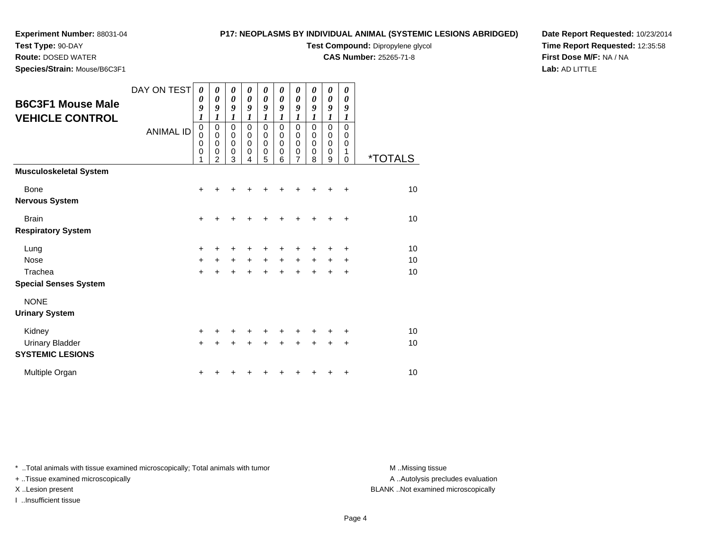# **Experiment Number:** 88031-04**Test Type:** 90-DAY

**Species/Strain:** Mouse/B6C3F1

**Route:** DOSED WATER

## **P17: NEOPLASMS BY INDIVIDUAL ANIMAL (SYSTEMIC LESIONS ABRIDGED)**

**Test Compound:** Dipropylene glycol

**CAS Number:** 25265-71-8

**Date Report Requested:** 10/23/2014**Time Report Requested:** 12:35:58**First Dose M/F:** NA / NA**Lab:** AD LITTLE

| <b>B6C3F1 Mouse Male</b>                                    | DAY ON TEST      | $\boldsymbol{\theta}$<br>0<br>9                | 0<br>0<br>9                                       | 0<br>$\boldsymbol{\theta}$<br>9                          | 0<br>$\boldsymbol{\theta}$<br>9            | 0<br>0<br>9                                            | 0<br>0<br>9                                    | 0<br>0<br>9                                                     | 0<br>0<br>9                | 0<br>0<br>9                                    | 0<br>0<br>9                                    |                       |
|-------------------------------------------------------------|------------------|------------------------------------------------|---------------------------------------------------|----------------------------------------------------------|--------------------------------------------|--------------------------------------------------------|------------------------------------------------|-----------------------------------------------------------------|----------------------------|------------------------------------------------|------------------------------------------------|-----------------------|
| <b>VEHICLE CONTROL</b>                                      | <b>ANIMAL ID</b> | 1<br>0<br>0<br>$\mathbf 0$<br>$\mathbf 0$<br>1 | 1<br>0<br>$\mathbf 0$<br>0<br>0<br>$\mathfrak{p}$ | 1<br>0<br>$\mathbf 0$<br>$\mathbf 0$<br>$\mathbf 0$<br>3 | 1<br>0<br>$\pmb{0}$<br>$\pmb{0}$<br>0<br>4 | 1<br>0<br>$\mathbf 0$<br>$\mathbf 0$<br>$\pmb{0}$<br>5 | 1<br>0<br>$\mathbf 0$<br>$\mathbf 0$<br>0<br>6 | 1<br>$\mathbf 0$<br>$\mathbf 0$<br>$\mathbf 0$<br>$\frac{0}{7}$ | 1<br>0<br>0<br>0<br>0<br>8 | 1<br>0<br>$\mathbf 0$<br>$\mathbf 0$<br>0<br>9 | 1<br>$\mathbf 0$<br>$\mathbf 0$<br>0<br>1<br>0 | <i><b>*TOTALS</b></i> |
| <b>Musculoskeletal System</b>                               |                  |                                                |                                                   |                                                          |                                            |                                                        |                                                |                                                                 |                            |                                                |                                                |                       |
| Bone<br><b>Nervous System</b>                               |                  | $\ddot{}$                                      |                                                   |                                                          |                                            |                                                        |                                                |                                                                 |                            |                                                |                                                | 10                    |
| <b>Brain</b><br><b>Respiratory System</b>                   |                  | +                                              |                                                   |                                                          |                                            |                                                        |                                                |                                                                 |                            |                                                | ٠                                              | 10                    |
| Lung<br><b>Nose</b><br>Trachea                              |                  | +<br>$\ddot{}$<br>$\ddot{}$                    | +<br>+                                            | $+$<br>$\ddot{}$                                         | $\ddot{}$                                  | $\ddot{}$                                              | $\ddot{}$                                      | +                                                               | $\pm$                      | +<br>$\pm$                                     | +<br>٠<br>+                                    | 10<br>10<br>10        |
| <b>Special Senses System</b>                                |                  |                                                |                                                   |                                                          |                                            |                                                        |                                                |                                                                 |                            |                                                |                                                |                       |
| <b>NONE</b><br><b>Urinary System</b>                        |                  |                                                |                                                   |                                                          |                                            |                                                        |                                                |                                                                 |                            |                                                |                                                |                       |
| Kidney<br><b>Urinary Bladder</b><br><b>SYSTEMIC LESIONS</b> |                  | +<br>$\ddot{}$                                 |                                                   |                                                          |                                            |                                                        |                                                |                                                                 |                            |                                                | +<br>+                                         | 10<br>10              |
| Multiple Organ                                              |                  | +                                              |                                                   |                                                          |                                            |                                                        |                                                |                                                                 |                            |                                                | +                                              | 10                    |

\* ..Total animals with tissue examined microscopically; Total animals with tumor **M** . Missing tissue M ..Missing tissue

+ ..Tissue examined microscopically

I ..Insufficient tissue

A ..Autolysis precludes evaluation

X ..Lesion present BLANK ..Not examined microscopically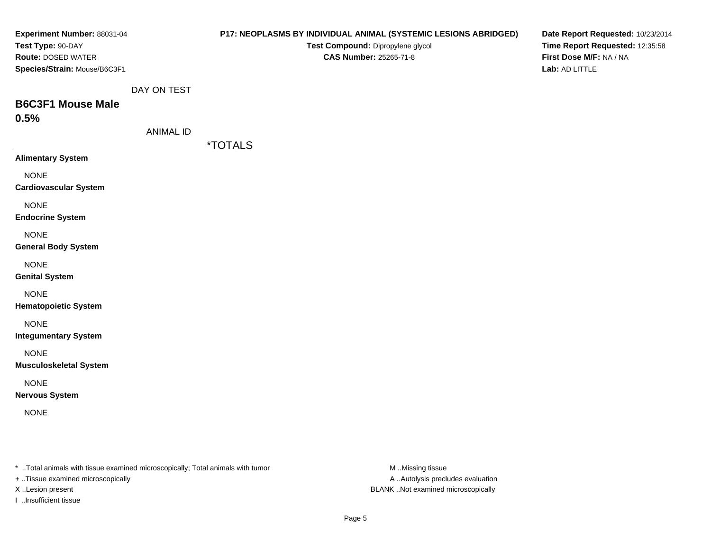| Experiment Number: 88031-04                                                    |                  | P17: NEOPLASMS BY INDIVIDUAL ANIMAL (SYSTEMIC LESIONS ABRIDGED) | Date Report Requested: 10/23/2014                          |
|--------------------------------------------------------------------------------|------------------|-----------------------------------------------------------------|------------------------------------------------------------|
| Test Type: 90-DAY<br>Route: DOSED WATER                                        |                  | Test Compound: Dipropylene glycol<br>CAS Number: 25265-71-8     | Time Report Requested: 12:35:58<br>First Dose M/F: NA / NA |
| Species/Strain: Mouse/B6C3F1                                                   |                  |                                                                 | Lab: AD LITTLE                                             |
|                                                                                | DAY ON TEST      |                                                                 |                                                            |
| <b>B6C3F1 Mouse Male</b>                                                       |                  |                                                                 |                                                            |
| 0.5%                                                                           |                  |                                                                 |                                                            |
|                                                                                | <b>ANIMAL ID</b> |                                                                 |                                                            |
|                                                                                |                  | <i><b>*TOTALS</b></i>                                           |                                                            |
| <b>Alimentary System</b>                                                       |                  |                                                                 |                                                            |
| <b>NONE</b><br><b>Cardiovascular System</b>                                    |                  |                                                                 |                                                            |
| <b>NONE</b><br><b>Endocrine System</b>                                         |                  |                                                                 |                                                            |
| <b>NONE</b><br><b>General Body System</b>                                      |                  |                                                                 |                                                            |
| <b>NONE</b><br><b>Genital System</b>                                           |                  |                                                                 |                                                            |
| <b>NONE</b><br><b>Hematopoietic System</b>                                     |                  |                                                                 |                                                            |
| <b>NONE</b><br><b>Integumentary System</b>                                     |                  |                                                                 |                                                            |
| <b>NONE</b><br><b>Musculoskeletal System</b>                                   |                  |                                                                 |                                                            |
| <b>NONE</b><br><b>Nervous System</b>                                           |                  |                                                                 |                                                            |
| <b>NONE</b>                                                                    |                  |                                                                 |                                                            |
|                                                                                |                  |                                                                 |                                                            |
| * Total animals with tissue examined microscopically; Total animals with tumor |                  | M.Missing tissue                                                |                                                            |

+ ..Tissue examined microscopically

I ..Insufficient tissue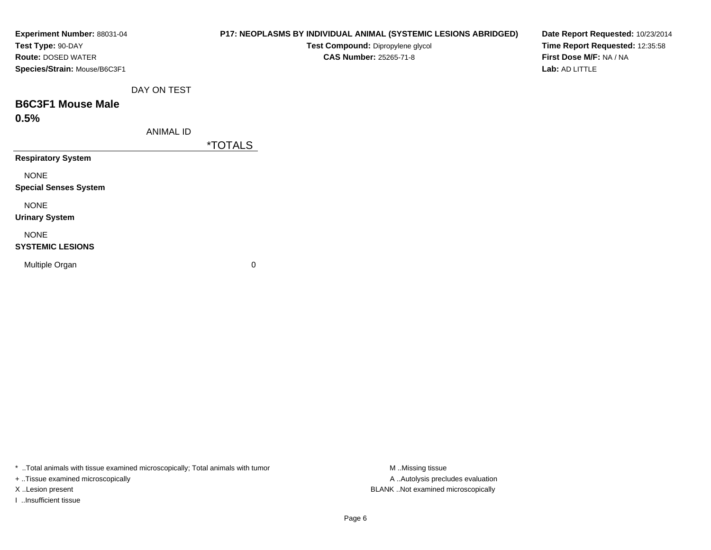| Experiment Number: 88031-04<br>Test Type: 90-DAY          |                  | P17: NEOPLASMS BY INDIVIDUAL ANIMAL (SYSTEMIC LESIONS ABRIDGED)<br>Test Compound: Dipropylene glycol | Date Report Requested: 10/23/2014<br>Time Report Requested: 12:35:58 |
|-----------------------------------------------------------|------------------|------------------------------------------------------------------------------------------------------|----------------------------------------------------------------------|
| <b>Route: DOSED WATER</b><br>Species/Strain: Mouse/B6C3F1 |                  | <b>CAS Number: 25265-71-8</b>                                                                        | First Dose M/F: NA / NA<br>Lab: AD LITTLE                            |
|                                                           | DAY ON TEST      |                                                                                                      |                                                                      |
| <b>B6C3F1 Mouse Male</b><br>0.5%                          |                  |                                                                                                      |                                                                      |
|                                                           | <b>ANIMAL ID</b> |                                                                                                      |                                                                      |
| <b>Respiratory System</b>                                 |                  | <i><b>*TOTALS</b></i>                                                                                |                                                                      |
| <b>NONE</b><br><b>Special Senses System</b>               |                  |                                                                                                      |                                                                      |
| <b>NONE</b><br><b>Urinary System</b>                      |                  |                                                                                                      |                                                                      |
| <b>NONE</b><br><b>SYSTEMIC LESIONS</b>                    |                  |                                                                                                      |                                                                      |
| Multiple Organ                                            |                  | 0                                                                                                    |                                                                      |

\* ..Total animals with tissue examined microscopically; Total animals with tumor M..Missing tissue M ..Missing tissue

+ ..Tissue examined microscopically

I ..Insufficient tissue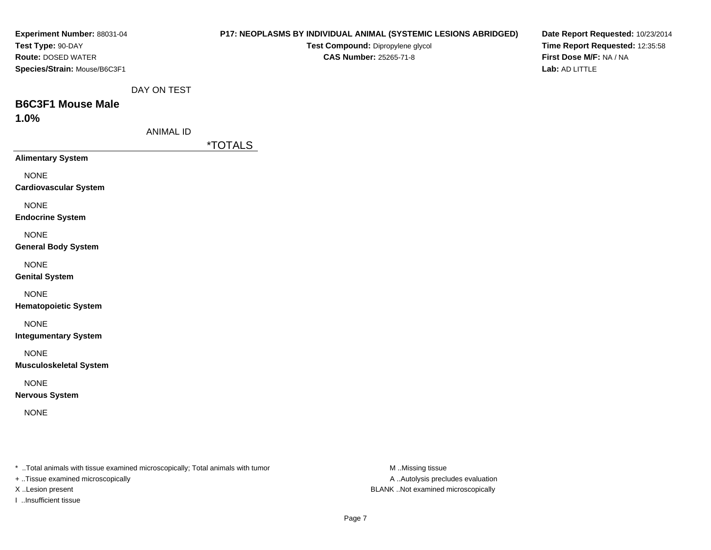| Experiment Number: 88031-04                                                    |                  | P17: NEOPLASMS BY INDIVIDUAL ANIMAL (SYSTEMIC LESIONS ABRIDGED) | Date Report Requested: 10/23/2014 |
|--------------------------------------------------------------------------------|------------------|-----------------------------------------------------------------|-----------------------------------|
| Test Type: 90-DAY                                                              |                  | Test Compound: Dipropylene glycol                               | Time Report Requested: 12:35:58   |
| Route: DOSED WATER                                                             |                  | <b>CAS Number: 25265-71-8</b>                                   | First Dose M/F: NA / NA           |
| Species/Strain: Mouse/B6C3F1                                                   |                  |                                                                 | Lab: AD LITTLE                    |
|                                                                                | DAY ON TEST      |                                                                 |                                   |
| <b>B6C3F1 Mouse Male</b>                                                       |                  |                                                                 |                                   |
| 1.0%                                                                           |                  |                                                                 |                                   |
|                                                                                | <b>ANIMAL ID</b> |                                                                 |                                   |
|                                                                                |                  | <i><b>*TOTALS</b></i>                                           |                                   |
| <b>Alimentary System</b>                                                       |                  |                                                                 |                                   |
| <b>NONE</b>                                                                    |                  |                                                                 |                                   |
| <b>Cardiovascular System</b>                                                   |                  |                                                                 |                                   |
| <b>NONE</b>                                                                    |                  |                                                                 |                                   |
| <b>Endocrine System</b>                                                        |                  |                                                                 |                                   |
| <b>NONE</b>                                                                    |                  |                                                                 |                                   |
| <b>General Body System</b>                                                     |                  |                                                                 |                                   |
| <b>NONE</b>                                                                    |                  |                                                                 |                                   |
| <b>Genital System</b>                                                          |                  |                                                                 |                                   |
| <b>NONE</b>                                                                    |                  |                                                                 |                                   |
| <b>Hematopoietic System</b>                                                    |                  |                                                                 |                                   |
| <b>NONE</b>                                                                    |                  |                                                                 |                                   |
| <b>Integumentary System</b>                                                    |                  |                                                                 |                                   |
| <b>NONE</b>                                                                    |                  |                                                                 |                                   |
| <b>Musculoskeletal System</b>                                                  |                  |                                                                 |                                   |
| <b>NONE</b>                                                                    |                  |                                                                 |                                   |
| <b>Nervous System</b>                                                          |                  |                                                                 |                                   |
|                                                                                |                  |                                                                 |                                   |
| <b>NONE</b>                                                                    |                  |                                                                 |                                   |
|                                                                                |                  |                                                                 |                                   |
|                                                                                |                  |                                                                 |                                   |
| * Total animals with tissue examined microscopically; Total animals with tumor |                  | M Missing tissue                                                |                                   |

+ ..Tissue examined microscopically

I ..Insufficient tissue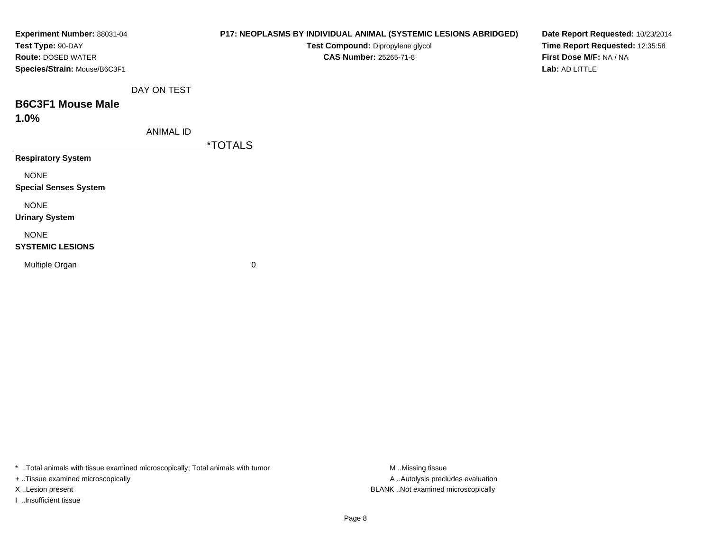| Experiment Number: 88031-04<br>Test Type: 90-DAY   |                  |                       | P17: NEOPLASMS BY INDIVIDUAL ANIMAL (SYSTEMIC LESIONS ABRIDGED)<br>Test Compound: Dipropylene glycol | Date Report Requested: 10/23/2014<br>Time Report Requested: 12:35:58 |
|----------------------------------------------------|------------------|-----------------------|------------------------------------------------------------------------------------------------------|----------------------------------------------------------------------|
| Route: DOSED WATER<br>Species/Strain: Mouse/B6C3F1 |                  |                       | <b>CAS Number: 25265-71-8</b>                                                                        | First Dose M/F: NA / NA<br>Lab: AD LITTLE                            |
|                                                    | DAY ON TEST      |                       |                                                                                                      |                                                                      |
| <b>B6C3F1 Mouse Male</b><br>1.0%                   |                  |                       |                                                                                                      |                                                                      |
|                                                    | <b>ANIMAL ID</b> | <i><b>*TOTALS</b></i> |                                                                                                      |                                                                      |
| <b>Respiratory System</b>                          |                  |                       |                                                                                                      |                                                                      |
| <b>NONE</b><br><b>Special Senses System</b>        |                  |                       |                                                                                                      |                                                                      |
| <b>NONE</b><br><b>Urinary System</b>               |                  |                       |                                                                                                      |                                                                      |
| <b>NONE</b><br><b>SYSTEMIC LESIONS</b>             |                  |                       |                                                                                                      |                                                                      |
| Multiple Organ                                     |                  | 0                     |                                                                                                      |                                                                      |

\* ..Total animals with tissue examined microscopically; Total animals with tumor M..Missing tissue M ..Missing tissue

+ ..Tissue examined microscopically

I ..Insufficient tissue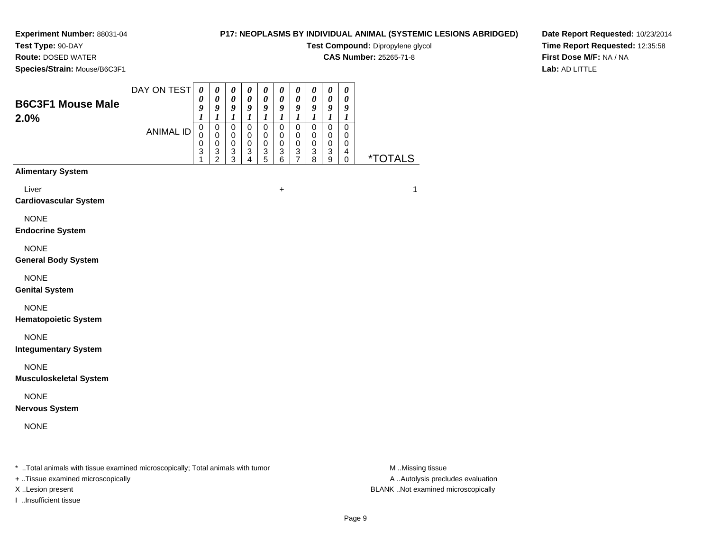# **Test Type:** 90-DAY

**Route:** DOSED WATER

**Species/Strain:** Mouse/B6C3F1

## **P17: NEOPLASMS BY INDIVIDUAL ANIMAL (SYSTEMIC LESIONS ABRIDGED)**

**Test Compound:** Dipropylene glycol

**CAS Number:** 25265-71-8

**Date Report Requested:** 10/23/2014**Time Report Requested:** 12:35:58**First Dose M/F:** NA / NA**Lab:** AD LITTLE

| <b>B6C3F1 Mouse Male</b><br>2.0%                                               | DAY ON TEST      | $\boldsymbol{\theta}$<br>0<br>9<br>$\boldsymbol{l}$ | 0<br>$\boldsymbol{\theta}$<br>9<br>$\boldsymbol{l}$            | $\boldsymbol{\theta}$<br>$\boldsymbol{\theta}$<br>9<br>$\boldsymbol{l}$ | $\boldsymbol{\theta}$<br>$\pmb{\theta}$<br>9<br>$\boldsymbol{l}$ | 0<br>$\pmb{\theta}$<br>9<br>$\boldsymbol{l}$   | $\boldsymbol{\theta}$<br>$\boldsymbol{\theta}$<br>9<br>$\boldsymbol{l}$     | $\boldsymbol{\theta}$<br>$\boldsymbol{\theta}$<br>9<br>$\boldsymbol{l}$ | $\boldsymbol{\theta}$<br>$\pmb{\theta}$<br>9<br>$\boldsymbol{l}$ | $\boldsymbol{\theta}$<br>0<br>9<br>$\boldsymbol{l}$                         | $\boldsymbol{\theta}$<br>0<br>9<br>1                          |                       |
|--------------------------------------------------------------------------------|------------------|-----------------------------------------------------|----------------------------------------------------------------|-------------------------------------------------------------------------|------------------------------------------------------------------|------------------------------------------------|-----------------------------------------------------------------------------|-------------------------------------------------------------------------|------------------------------------------------------------------|-----------------------------------------------------------------------------|---------------------------------------------------------------|-----------------------|
|                                                                                | <b>ANIMAL ID</b> | $\mathsf 0$<br>$\Omega$<br>0<br>3                   | $\mathsf 0$<br>$\mathbf 0$<br>$\pmb{0}$<br>3<br>$\overline{2}$ | $\mathbf 0$<br>$\mathbf 0$<br>$\mathbf 0$<br>3<br>$\overline{3}$        | $\mathsf 0$<br>$\mathbf 0$<br>$\mathbf 0$<br>3<br>4              | $\mathbf 0$<br>$\pmb{0}$<br>0<br>$\frac{3}{5}$ | $\mathbf 0$<br>$\mathbf 0$<br>$\mathbf 0$<br>$\ensuremath{\mathsf{3}}$<br>6 | $\mathbf 0$<br>$\mathbf 0$<br>$\mathbf 0$<br>3<br>$\overline{7}$        | $\mathbf 0$<br>$\mathbf 0$<br>$\mathbf 0$<br>3<br>8              | $\mathbf 0$<br>$\mathbf 0$<br>$\mathbf 0$<br>$\ensuremath{\mathsf{3}}$<br>9 | $\mathbf 0$<br>$\mathbf 0$<br>$\mathbf 0$<br>4<br>$\mathbf 0$ | <i><b>*TOTALS</b></i> |
| <b>Alimentary System</b>                                                       |                  |                                                     |                                                                |                                                                         |                                                                  |                                                |                                                                             |                                                                         |                                                                  |                                                                             |                                                               |                       |
| Liver<br><b>Cardiovascular System</b>                                          |                  |                                                     |                                                                |                                                                         |                                                                  |                                                | $\ddot{}$                                                                   |                                                                         |                                                                  |                                                                             |                                                               | $\mathbf{1}$          |
| <b>NONE</b><br><b>Endocrine System</b>                                         |                  |                                                     |                                                                |                                                                         |                                                                  |                                                |                                                                             |                                                                         |                                                                  |                                                                             |                                                               |                       |
| <b>NONE</b><br><b>General Body System</b>                                      |                  |                                                     |                                                                |                                                                         |                                                                  |                                                |                                                                             |                                                                         |                                                                  |                                                                             |                                                               |                       |
| <b>NONE</b><br><b>Genital System</b>                                           |                  |                                                     |                                                                |                                                                         |                                                                  |                                                |                                                                             |                                                                         |                                                                  |                                                                             |                                                               |                       |
| <b>NONE</b><br><b>Hematopoietic System</b>                                     |                  |                                                     |                                                                |                                                                         |                                                                  |                                                |                                                                             |                                                                         |                                                                  |                                                                             |                                                               |                       |
| <b>NONE</b><br><b>Integumentary System</b>                                     |                  |                                                     |                                                                |                                                                         |                                                                  |                                                |                                                                             |                                                                         |                                                                  |                                                                             |                                                               |                       |
| <b>NONE</b><br><b>Musculoskeletal System</b>                                   |                  |                                                     |                                                                |                                                                         |                                                                  |                                                |                                                                             |                                                                         |                                                                  |                                                                             |                                                               |                       |
| <b>NONE</b><br><b>Nervous System</b>                                           |                  |                                                     |                                                                |                                                                         |                                                                  |                                                |                                                                             |                                                                         |                                                                  |                                                                             |                                                               |                       |
| <b>NONE</b>                                                                    |                  |                                                     |                                                                |                                                                         |                                                                  |                                                |                                                                             |                                                                         |                                                                  |                                                                             |                                                               |                       |
| * Total animals with tissue examined microscopically; Total animals with tumor |                  |                                                     |                                                                |                                                                         |                                                                  |                                                |                                                                             |                                                                         |                                                                  |                                                                             |                                                               | M Missing tissue      |

+ ..Tissue examined microscopically

I ..Insufficient tissue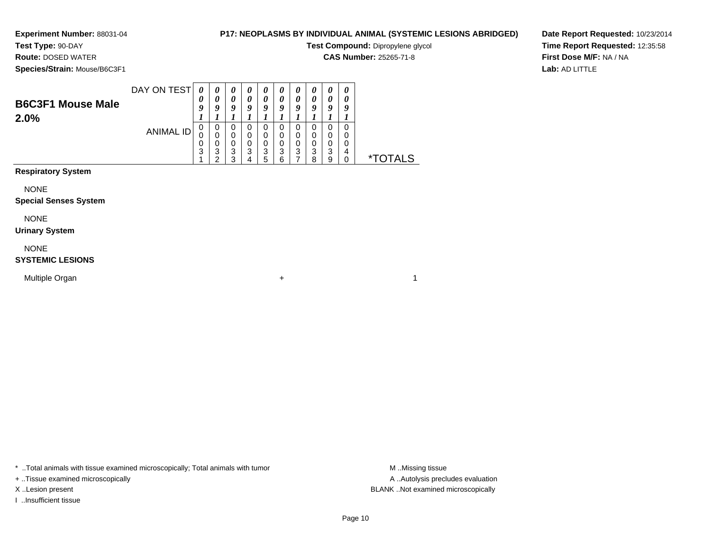**Test Type:** 90-DAY**Route:** DOSED WATER

# **P17: NEOPLASMS BY INDIVIDUAL ANIMAL (SYSTEMIC LESIONS ABRIDGED)**

**Test Compound:** Dipropylene glycol

**CAS Number:** 25265-71-8

**Species/Strain:** Mouse/B6C3F1

**Date Report Requested:** 10/23/2014**Time Report Requested:** 12:35:58**First Dose M/F:** NA / NA**Lab:** AD LITTLE

| <b>B6C3F1 Mouse Male</b><br>2.0% | DAY ON TEST | 0<br>9           | 0<br>$\boldsymbol{0}$ | U<br>0<br>o | U<br>o | U<br>$\boldsymbol{\theta}$<br>9 | $\boldsymbol{v}$<br>a | $\boldsymbol{\theta}$<br>0<br>Q | $\boldsymbol{\mathit{u}}$<br>0<br>O | 0<br>0<br>Q           | 0<br>a      |    |
|----------------------------------|-------------|------------------|-----------------------|-------------|--------|---------------------------------|-----------------------|---------------------------------|-------------------------------------|-----------------------|-------------|----|
|                                  | ANIMAL ID   | U<br>U<br>υ<br>3 | 0<br>3                | 0<br>3<br>◠ | 3      | 0<br>0<br>0<br>3<br>5           | O<br>0<br>3           | 0<br>0<br>0<br>3                | 3<br>o                              | 0<br>0<br>0<br>3<br>9 | 0<br>0<br>4 | ×. |

# **Respiratory System**

NONE

#### **Special Senses System**

NONE

#### **Urinary System**

NONE

#### **SYSTEMIC LESIONS**

Multiple Organn  $+$ 

\* ..Total animals with tissue examined microscopically; Total animals with tumor **M** ...Missing tissue M ...Missing tissue

+ ..Tissue examined microscopically

I ..Insufficient tissue

A .. Autolysis precludes evaluation X ..Lesion present BLANK ..Not examined microscopically

 $\overline{1}$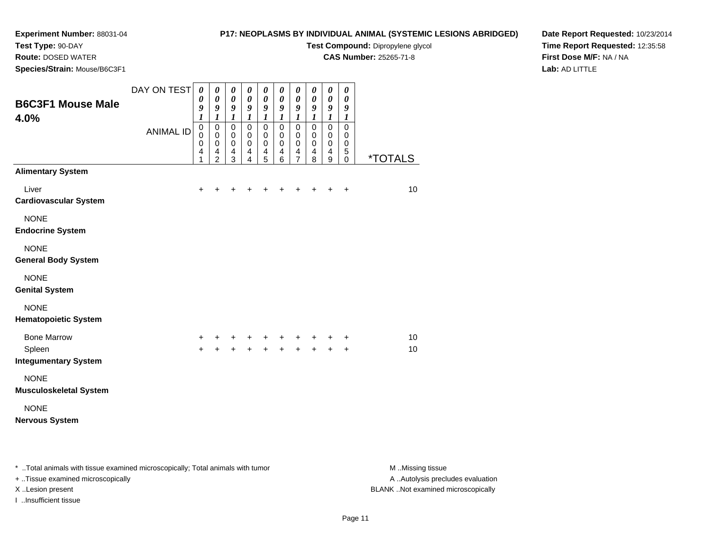# **Test Type:** 90-DAY

**Route:** DOSED WATER

**Species/Strain:** Mouse/B6C3F1

## **P17: NEOPLASMS BY INDIVIDUAL ANIMAL (SYSTEMIC LESIONS ABRIDGED)**

**Test Compound:** Dipropylene glycol

**CAS Number:** 25265-71-8

**Date Report Requested:** 10/23/2014**Time Report Requested:** 12:35:58**First Dose M/F:** NA / NA**Lab:** AD LITTLE

| <b>B6C3F1 Mouse Male</b><br>4.0%             | DAY ON TEST      | $\boldsymbol{\theta}$<br>0<br>9<br>$\boldsymbol{l}$  | 0<br>$\boldsymbol{\theta}$<br>9<br>$\boldsymbol{l}$                                | 0<br>$\boldsymbol{\theta}$<br>$\boldsymbol{g}$<br>$\boldsymbol{l}$ | 0<br>$\boldsymbol{\theta}$<br>$\boldsymbol{9}$<br>$\boldsymbol{l}$          | $\boldsymbol{\theta}$<br>$\boldsymbol{\theta}$<br>$\boldsymbol{9}$<br>$\boldsymbol{l}$ | 0<br>$\boldsymbol{\theta}$<br>9<br>$\boldsymbol{l}$    | 0<br>$\boldsymbol{\theta}$<br>$\boldsymbol{g}$<br>$\boldsymbol{l}$        | 0<br>$\boldsymbol{\theta}$<br>9<br>$\boldsymbol{l}$        | 0<br>$\boldsymbol{\theta}$<br>9<br>$\boldsymbol{l}$ | 0<br>0<br>9<br>$\boldsymbol{l}$                            |                       |
|----------------------------------------------|------------------|------------------------------------------------------|------------------------------------------------------------------------------------|--------------------------------------------------------------------|-----------------------------------------------------------------------------|----------------------------------------------------------------------------------------|--------------------------------------------------------|---------------------------------------------------------------------------|------------------------------------------------------------|-----------------------------------------------------|------------------------------------------------------------|-----------------------|
|                                              | <b>ANIMAL ID</b> | $\pmb{0}$<br>$\mathbf 0$<br>0<br>$\overline{4}$<br>1 | $\mathbf 0$<br>$\pmb{0}$<br>$\pmb{0}$<br>$\overline{\mathbf{4}}$<br>$\overline{2}$ | $\mathbf 0$<br>$\pmb{0}$<br>$\pmb{0}$<br>4<br>3                    | $\mathsf 0$<br>$\mathbf 0$<br>$\pmb{0}$<br>$\overline{4}$<br>$\overline{4}$ | $\mathbf 0$<br>$\mathbf 0$<br>0<br>$\overline{4}$<br>5                                 | $\mathbf 0$<br>$\mathbf 0$<br>0<br>$\overline{4}$<br>6 | $\mathsf 0$<br>$\pmb{0}$<br>$\pmb{0}$<br>$\overline{4}$<br>$\overline{7}$ | $\mathbf 0$<br>$\pmb{0}$<br>$\,0\,$<br>$\overline{4}$<br>8 | $\mathsf 0$<br>$\pmb{0}$<br>$\pmb{0}$<br>4<br>9     | $\mathbf 0$<br>$\mathbf 0$<br>$\mathbf 0$<br>5<br>$\Omega$ | <i><b>*TOTALS</b></i> |
| <b>Alimentary System</b>                     |                  |                                                      |                                                                                    |                                                                    |                                                                             |                                                                                        |                                                        |                                                                           |                                                            |                                                     |                                                            |                       |
| Liver<br><b>Cardiovascular System</b>        |                  | $\ddot{}$                                            |                                                                                    |                                                                    |                                                                             | ٠                                                                                      | +                                                      | +                                                                         | +                                                          | $\pm$                                               | $\ddot{}$                                                  | 10                    |
| <b>NONE</b><br><b>Endocrine System</b>       |                  |                                                      |                                                                                    |                                                                    |                                                                             |                                                                                        |                                                        |                                                                           |                                                            |                                                     |                                                            |                       |
| <b>NONE</b><br><b>General Body System</b>    |                  |                                                      |                                                                                    |                                                                    |                                                                             |                                                                                        |                                                        |                                                                           |                                                            |                                                     |                                                            |                       |
| <b>NONE</b><br><b>Genital System</b>         |                  |                                                      |                                                                                    |                                                                    |                                                                             |                                                                                        |                                                        |                                                                           |                                                            |                                                     |                                                            |                       |
| <b>NONE</b><br><b>Hematopoietic System</b>   |                  |                                                      |                                                                                    |                                                                    |                                                                             |                                                                                        |                                                        |                                                                           |                                                            |                                                     |                                                            |                       |
| <b>Bone Marrow</b>                           |                  | $\ddot{}$                                            |                                                                                    | +                                                                  | +                                                                           | +                                                                                      | +                                                      |                                                                           |                                                            | +                                                   | +                                                          | 10                    |
| Spleen<br><b>Integumentary System</b>        |                  | $+$                                                  | $\ddot{}$                                                                          | $\ddot{+}$                                                         | $\ddot{+}$                                                                  | $\ddot{+}$                                                                             | $\ddot{+}$                                             | $\ddot{+}$                                                                | $+$                                                        | $+$                                                 | $\ddot{}$                                                  | 10                    |
| <b>NONE</b><br><b>Musculoskeletal System</b> |                  |                                                      |                                                                                    |                                                                    |                                                                             |                                                                                        |                                                        |                                                                           |                                                            |                                                     |                                                            |                       |
| <b>NONE</b><br><b>Nervous System</b>         |                  |                                                      |                                                                                    |                                                                    |                                                                             |                                                                                        |                                                        |                                                                           |                                                            |                                                     |                                                            |                       |

\* ..Total animals with tissue examined microscopically; Total animals with tumor **M** . Missing tissue M ..Missing tissue A ..Autolysis precludes evaluation + ..Tissue examined microscopically X ..Lesion present BLANK ..Not examined microscopicallyI ..Insufficient tissue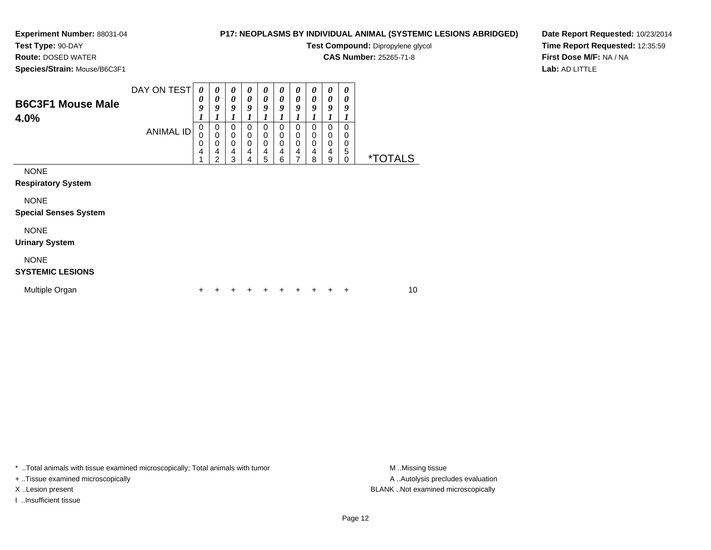## **Test Type:** 90-DAY

**Route:** DOSED WATER

**Species/Strain:** Mouse/B6C3F1

## **P17: NEOPLASMS BY INDIVIDUAL ANIMAL (SYSTEMIC LESIONS ABRIDGED)**

**Test Compound:** Dipropylene glycol

**CAS Number:** 25265-71-8

**Date Report Requested:** 10/23/2014**Time Report Requested:** 12:35:59**First Dose M/F:** NA / NA**Lab:** AD LITTLE

| <b>B6C3F1 Mouse Male</b><br>4.0%            | DAY ON TEST<br><b>ANIMAL ID</b> | 0<br>0<br>9<br>1<br>0<br>0<br>0<br>4<br>4 | 0<br>0<br>9<br>1<br>0<br>$\mathbf 0$<br>0<br>4<br>$\overline{2}$ | 0<br>$\boldsymbol{\theta}$<br>9<br>1<br>0<br>$\mathbf 0$<br>$\mathbf 0$<br>$\overline{4}$<br>3 | 0<br>0<br>9<br>0<br>0<br>0<br>$\overline{4}$<br>4 | 0<br>0<br>9<br>0<br>0<br>0<br>4<br>5 | 0<br>0<br>9<br>0<br>0<br>$\mathbf 0$<br>4<br>6 | 0<br>0<br>9<br>1<br>0<br>0<br>0<br>4<br>7 | 0<br>0<br>9<br>0<br>0<br>0<br>4<br>8 | 0<br>0<br>9<br>0<br>0<br>0<br>4<br>9 | 0<br>0<br>9<br>0<br>0<br>0<br>5<br>0 | <i><b>*TOTALS</b></i> |
|---------------------------------------------|---------------------------------|-------------------------------------------|------------------------------------------------------------------|------------------------------------------------------------------------------------------------|---------------------------------------------------|--------------------------------------|------------------------------------------------|-------------------------------------------|--------------------------------------|--------------------------------------|--------------------------------------|-----------------------|
| <b>NONE</b><br><b>Respiratory System</b>    |                                 |                                           |                                                                  |                                                                                                |                                                   |                                      |                                                |                                           |                                      |                                      |                                      |                       |
| <b>NONE</b><br><b>Special Senses System</b> |                                 |                                           |                                                                  |                                                                                                |                                                   |                                      |                                                |                                           |                                      |                                      |                                      |                       |
| <b>NONE</b><br><b>Urinary System</b>        |                                 |                                           |                                                                  |                                                                                                |                                                   |                                      |                                                |                                           |                                      |                                      |                                      |                       |
| <b>NONE</b><br><b>SYSTEMIC LESIONS</b>      |                                 |                                           |                                                                  |                                                                                                |                                                   |                                      |                                                |                                           |                                      |                                      |                                      |                       |
| Multiple Organ                              |                                 | +                                         |                                                                  |                                                                                                |                                                   |                                      |                                                |                                           |                                      |                                      | +                                    | 10                    |

\* ..Total animals with tissue examined microscopically; Total animals with tumor **M** . Missing tissue M ..Missing tissue

+ ..Tissue examined microscopically

I ..Insufficient tissue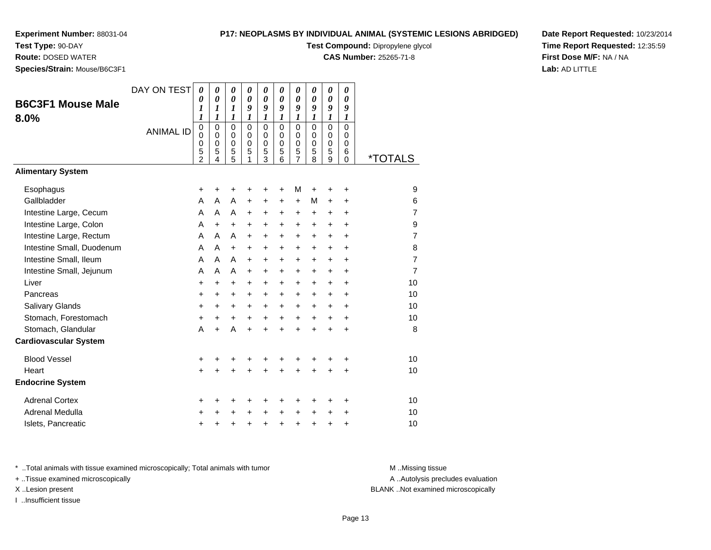**Test Type:** 90-DAY

**Route:** DOSED WATER

**Species/Strain:** Mouse/B6C3F1

## **P17: NEOPLASMS BY INDIVIDUAL ANIMAL (SYSTEMIC LESIONS ABRIDGED)**

**Test Compound:** Dipropylene glycol

**CAS Number:** 25265-71-8

**Date Report Requested:** 10/23/2014**Time Report Requested:** 12:35:59**First Dose M/F:** NA / NA**Lab:** AD LITTLE

| <b>B6C3F1 Mouse Male</b><br>8.0% | DAY ON TEST<br><b>ANIMAL ID</b> | $\boldsymbol{\theta}$<br>0<br>$\boldsymbol{l}$<br>$\boldsymbol{l}$<br>$\pmb{0}$<br>0<br>0<br>5<br>$\overline{2}$ | $\boldsymbol{\theta}$<br>$\boldsymbol{\theta}$<br>$\boldsymbol{l}$<br>1<br>$\mathbf 0$<br>$\mathbf 0$<br>$\pmb{0}$<br>5<br>4 | 0<br>$\boldsymbol{\theta}$<br>$\boldsymbol{l}$<br>1<br>$\mathbf 0$<br>$\mathbf 0$<br>$\,0\,$<br>5<br>5 | 0<br>$\boldsymbol{\theta}$<br>9<br>$\boldsymbol{l}$<br>$\mathbf 0$<br>$\mathbf 0$<br>$\pmb{0}$<br>5<br>1 | 0<br>$\boldsymbol{\theta}$<br>9<br>1<br>$\mathbf 0$<br>$\mathbf 0$<br>$\pmb{0}$<br>5<br>$\overline{3}$ | 0<br>$\boldsymbol{\theta}$<br>9<br>$\boldsymbol{l}$<br>$\Omega$<br>$\mathbf 0$<br>$\mathbf 0$<br>5<br>6 | 0<br>$\boldsymbol{\theta}$<br>9<br>$\boldsymbol{l}$<br>$\mathbf 0$<br>$\mathbf 0$<br>0<br>$\frac{5}{7}$ | 0<br>0<br>9<br>1<br>0<br>$\mathbf 0$<br>0<br>5<br>8 | 0<br>$\boldsymbol{\theta}$<br>9<br>$\boldsymbol{l}$<br>$\overline{0}$<br>0<br>$\boldsymbol{0}$<br>5<br>$\overline{9}$ | 0<br>$\boldsymbol{\theta}$<br>9<br>1<br>$\mathbf 0$<br>0<br>0<br>6<br>$\Omega$ | <i><b>*TOTALS</b></i> |
|----------------------------------|---------------------------------|------------------------------------------------------------------------------------------------------------------|------------------------------------------------------------------------------------------------------------------------------|--------------------------------------------------------------------------------------------------------|----------------------------------------------------------------------------------------------------------|--------------------------------------------------------------------------------------------------------|---------------------------------------------------------------------------------------------------------|---------------------------------------------------------------------------------------------------------|-----------------------------------------------------|-----------------------------------------------------------------------------------------------------------------------|--------------------------------------------------------------------------------|-----------------------|
| <b>Alimentary System</b>         |                                 |                                                                                                                  |                                                                                                                              |                                                                                                        |                                                                                                          |                                                                                                        |                                                                                                         |                                                                                                         |                                                     |                                                                                                                       |                                                                                |                       |
| Esophagus                        |                                 | +                                                                                                                | +                                                                                                                            | +                                                                                                      | +                                                                                                        | +                                                                                                      | +                                                                                                       | M                                                                                                       | +                                                   | +                                                                                                                     | +                                                                              | 9                     |
| Gallbladder                      |                                 | A                                                                                                                | A                                                                                                                            | A                                                                                                      | $\ddot{}$                                                                                                | +                                                                                                      | +                                                                                                       | $\ddot{}$                                                                                               | М                                                   | +                                                                                                                     | $\ddot{}$                                                                      | 6                     |
| Intestine Large, Cecum           |                                 | A                                                                                                                | $\mathsf{A}$                                                                                                                 | A                                                                                                      | $\ddot{}$                                                                                                | $\ddot{}$                                                                                              | $\ddot{}$                                                                                               | $\ddot{}$                                                                                               | $\ddot{}$                                           | $\ddot{}$                                                                                                             | $\ddot{}$                                                                      | $\overline{7}$        |
| Intestine Large, Colon           |                                 | A                                                                                                                | $+$                                                                                                                          | $\ddot{}$                                                                                              | $\ddot{}$                                                                                                | $\ddot{}$                                                                                              | $\ddot{}$                                                                                               | $\ddot{}$                                                                                               | $+$                                                 | $\ddot{}$                                                                                                             | ÷                                                                              | 9                     |
| Intestine Large, Rectum          |                                 | A                                                                                                                | A                                                                                                                            | A                                                                                                      | $\ddot{}$                                                                                                | $\ddot{}$                                                                                              | $\ddot{}$                                                                                               | $\ddot{}$                                                                                               | $\ddot{}$                                           | $\ddot{}$                                                                                                             | $\ddot{}$                                                                      | $\overline{7}$        |
| Intestine Small, Duodenum        |                                 | A                                                                                                                | A                                                                                                                            | $\ddot{}$                                                                                              | $\ddot{}$                                                                                                | $\ddot{}$                                                                                              | +                                                                                                       | $\ddot{}$                                                                                               | $\ddot{}$                                           | $\ddot{}$                                                                                                             | $\ddot{}$                                                                      | 8                     |
| Intestine Small, Ileum           |                                 | A                                                                                                                | A                                                                                                                            | A                                                                                                      | $\ddot{}$                                                                                                | $\ddot{}$                                                                                              | $\ddot{}$                                                                                               | $\ddot{}$                                                                                               | +                                                   | +                                                                                                                     | $\ddot{}$                                                                      | $\overline{7}$        |
| Intestine Small, Jejunum         |                                 | A                                                                                                                | A                                                                                                                            | A                                                                                                      | $\ddot{}$                                                                                                | $\ddot{}$                                                                                              | $\ddot{}$                                                                                               | $\ddot{}$                                                                                               | $\ddot{}$                                           | $\pm$                                                                                                                 | +                                                                              | $\overline{7}$        |
| Liver                            |                                 | $\ddot{}$                                                                                                        | $\ddot{}$                                                                                                                    | $\ddot{}$                                                                                              | $\ddot{}$                                                                                                | $\ddot{}$                                                                                              | $\ddot{}$                                                                                               | $\ddot{}$                                                                                               | $\ddot{}$                                           | $\ddot{}$                                                                                                             | $\ddot{}$                                                                      | 10                    |
| Pancreas                         |                                 | +                                                                                                                | +                                                                                                                            | +                                                                                                      | +                                                                                                        | $\ddot{}$                                                                                              | $\ddot{}$                                                                                               | $\ddot{}$                                                                                               | $\ddot{}$                                           | $\pm$                                                                                                                 | $\ddot{}$                                                                      | 10                    |
| Salivary Glands                  |                                 | +                                                                                                                | +                                                                                                                            | $\ddot{}$                                                                                              | $+$                                                                                                      | $\ddot{}$                                                                                              | $\ddot{}$                                                                                               | $\ddot{}$                                                                                               | $\ddot{}$                                           | $\ddot{}$                                                                                                             | $\ddot{}$                                                                      | 10                    |
| Stomach, Forestomach             |                                 | +                                                                                                                | +                                                                                                                            | +                                                                                                      | $\ddot{}$                                                                                                | $\ddot{}$                                                                                              | $\ddot{}$                                                                                               | $\ddot{}$                                                                                               | $\ddot{}$                                           | +                                                                                                                     | +                                                                              | 10                    |
| Stomach, Glandular               |                                 | A                                                                                                                | $\ddot{}$                                                                                                                    | A                                                                                                      | $\ddot{}$                                                                                                | $\ddot{}$                                                                                              | $\ddot{}$                                                                                               | $\ddot{}$                                                                                               | $\ddot{}$                                           | +                                                                                                                     | +                                                                              | 8                     |
| <b>Cardiovascular System</b>     |                                 |                                                                                                                  |                                                                                                                              |                                                                                                        |                                                                                                          |                                                                                                        |                                                                                                         |                                                                                                         |                                                     |                                                                                                                       |                                                                                |                       |
| <b>Blood Vessel</b>              |                                 | +                                                                                                                | +                                                                                                                            | +                                                                                                      | +                                                                                                        | +                                                                                                      | +                                                                                                       | +                                                                                                       | +                                                   | +                                                                                                                     | +                                                                              | 10                    |
| Heart                            |                                 | $\ddot{}$                                                                                                        |                                                                                                                              |                                                                                                        |                                                                                                          |                                                                                                        |                                                                                                         | ÷                                                                                                       | ÷                                                   | $\ddot{}$                                                                                                             | $\ddot{}$                                                                      | 10                    |
| <b>Endocrine System</b>          |                                 |                                                                                                                  |                                                                                                                              |                                                                                                        |                                                                                                          |                                                                                                        |                                                                                                         |                                                                                                         |                                                     |                                                                                                                       |                                                                                |                       |
| <b>Adrenal Cortex</b>            |                                 | +                                                                                                                | +                                                                                                                            | +                                                                                                      | +                                                                                                        | +                                                                                                      | +                                                                                                       | +                                                                                                       | ٠                                                   | ٠                                                                                                                     | +                                                                              | 10                    |
| Adrenal Medulla                  |                                 | +                                                                                                                |                                                                                                                              |                                                                                                        |                                                                                                          | +                                                                                                      | $\ddot{}$                                                                                               | $\ddot{}$                                                                                               | $\ddot{}$                                           | +                                                                                                                     | +                                                                              | 10                    |
| Islets, Pancreatic               |                                 | +                                                                                                                | +                                                                                                                            | +                                                                                                      | +                                                                                                        | +                                                                                                      | +                                                                                                       | +                                                                                                       | +                                                   | +                                                                                                                     | +                                                                              | 10                    |

\* ..Total animals with tissue examined microscopically; Total animals with tumor **M** . Missing tissue M ..Missing tissue

+ ..Tissue examined microscopically

I ..Insufficient tissue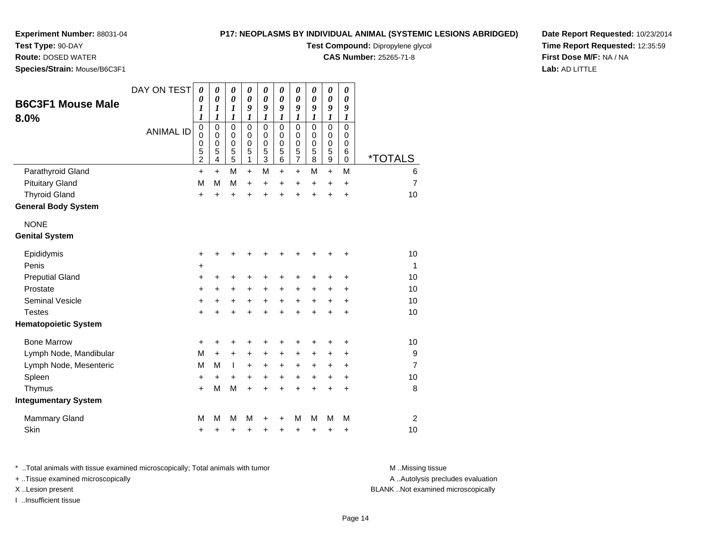# **Test Type:** 90-DAY

**Route:** DOSED WATER

**Species/Strain:** Mouse/B6C3F1

## **P17: NEOPLASMS BY INDIVIDUAL ANIMAL (SYSTEMIC LESIONS ABRIDGED)**

**Test Compound:** Dipropylene glycol

**CAS Number:** 25265-71-8

**Date Report Requested:** 10/23/2014**Time Report Requested:** 12:35:59**First Dose M/F:** NA / NA**Lab:** AD LITTLE

| <b>B6C3F1 Mouse Male</b>    | DAY ON TEST      | $\boldsymbol{\theta}$<br>0<br>1                                            | 0<br>0<br>1                | $\pmb{\theta}$<br>$\boldsymbol{\theta}$<br>1                | 0<br>$\boldsymbol{\theta}$<br>9                    | $\boldsymbol{\theta}$<br>$\boldsymbol{\theta}$<br>9   | 0<br>$\boldsymbol{\theta}$<br>9                | $\boldsymbol{\theta}$<br>$\boldsymbol{\theta}$<br>9 | 0<br>$\boldsymbol{\theta}$<br>9                | 0<br>0<br>9                | 0<br>$\boldsymbol{\theta}$<br>9                |                       |
|-----------------------------|------------------|----------------------------------------------------------------------------|----------------------------|-------------------------------------------------------------|----------------------------------------------------|-------------------------------------------------------|------------------------------------------------|-----------------------------------------------------|------------------------------------------------|----------------------------|------------------------------------------------|-----------------------|
| 8.0%                        | <b>ANIMAL ID</b> | $\boldsymbol{l}$<br>$\mathbf 0$<br>$\mathbf 0$<br>0<br>5<br>$\overline{c}$ | 1<br>0<br>0<br>0<br>5<br>4 | 1<br>$\mathbf 0$<br>0<br>$\mathbf 0$<br>5<br>$\overline{5}$ | 1<br>$\Omega$<br>$\Omega$<br>$\mathbf 0$<br>5<br>1 | 1<br>$\mathbf 0$<br>0<br>$\mathbf 0$<br>$\frac{5}{3}$ | 1<br>$\mathbf 0$<br>0<br>$\mathbf 0$<br>5<br>6 | 1<br>$\mathbf 0$<br>0<br>0<br>5<br>$\overline{7}$   | 1<br>$\mathbf 0$<br>0<br>$\mathbf 0$<br>5<br>8 | 1<br>0<br>0<br>0<br>5<br>9 | 1<br>$\mathbf 0$<br>0<br>$\mathbf 0$<br>6<br>0 | <i><b>*TOTALS</b></i> |
| Parathyroid Gland           |                  | $\ddot{}$                                                                  | $+$                        | M                                                           | $\ddot{}$                                          | M                                                     | $\ddot{}$                                      | $+$                                                 | M                                              | $+$                        | M                                              | 6                     |
| <b>Pituitary Gland</b>      |                  | M                                                                          | M                          | M                                                           | $\ddot{}$                                          | $\ddot{}$                                             | $\pm$                                          | +                                                   | +                                              | +                          | $\ddot{}$                                      | $\overline{7}$        |
| <b>Thyroid Gland</b>        |                  | $\ddot{}$                                                                  | ÷                          | +                                                           | Ŧ.                                                 | $\ddot{}$                                             | ÷                                              | $\ddot{}$                                           | $\ddot{}$                                      | $\ddot{}$                  | $\ddot{}$                                      | 10                    |
| <b>General Body System</b>  |                  |                                                                            |                            |                                                             |                                                    |                                                       |                                                |                                                     |                                                |                            |                                                |                       |
| <b>NONE</b>                 |                  |                                                                            |                            |                                                             |                                                    |                                                       |                                                |                                                     |                                                |                            |                                                |                       |
| <b>Genital System</b>       |                  |                                                                            |                            |                                                             |                                                    |                                                       |                                                |                                                     |                                                |                            |                                                |                       |
| Epididymis                  |                  | +                                                                          | +                          | +                                                           | +                                                  | +                                                     |                                                | +                                                   | +                                              | +                          | +                                              | 10                    |
| Penis                       |                  | $\ddot{}$                                                                  |                            |                                                             |                                                    |                                                       |                                                |                                                     |                                                |                            |                                                | 1                     |
| <b>Preputial Gland</b>      |                  | +                                                                          | +                          | +                                                           | +                                                  | +                                                     | +                                              | +                                                   | +                                              | +                          | ٠                                              | 10                    |
| Prostate                    |                  | $\ddot{}$                                                                  | +                          | $\ddot{}$                                                   | $\ddot{}$                                          | $\ddot{}$                                             | +                                              | $\ddot{}$                                           | $\ddot{}$                                      | $\ddot{}$                  | $\ddot{}$                                      | 10                    |
| <b>Seminal Vesicle</b>      |                  | $\ddot{}$                                                                  | +                          | +                                                           | +                                                  | $\ddot{}$                                             | $\ddot{}$                                      | $\ddot{}$                                           | $\ddot{}$                                      | +                          | +                                              | 10                    |
| <b>Testes</b>               |                  | $\ddot{}$                                                                  | $\ddot{}$                  | $\ddot{}$                                                   | $\ddot{}$                                          | $\ddot{}$                                             | $\ddot{}$                                      | $\ddot{}$                                           | $\ddot{}$                                      | $\ddot{}$                  | +                                              | 10                    |
| <b>Hematopoietic System</b> |                  |                                                                            |                            |                                                             |                                                    |                                                       |                                                |                                                     |                                                |                            |                                                |                       |
| <b>Bone Marrow</b>          |                  | +                                                                          | +                          | +                                                           | +                                                  | +                                                     | +                                              | +                                                   | +                                              | +                          | +                                              | 10                    |
| Lymph Node, Mandibular      |                  | M                                                                          | $\ddot{}$                  | +                                                           | +                                                  | +                                                     | +                                              | +                                                   | ٠                                              | +                          | +                                              | 9                     |
| Lymph Node, Mesenteric      |                  | M                                                                          | M                          | $\mathbf{I}$                                                | $\ddot{}$                                          | $\ddot{}$                                             | $\pm$                                          | +                                                   | +                                              | +                          | +                                              | $\overline{7}$        |
| Spleen                      |                  | +                                                                          | +                          | +                                                           | $\ddot{}$                                          | $\ddot{}$                                             | $\ddot{}$                                      | +                                                   | $\ddot{}$                                      | +                          | $\ddot{}$                                      | 10                    |
| Thymus                      |                  | $+$                                                                        | M                          | M                                                           | $\ddot{}$                                          | $\ddot{}$                                             | $\ddot{}$                                      | $\ddot{}$                                           | $\ddot{}$                                      | $\ddot{}$                  | $\ddot{}$                                      | 8                     |
| <b>Integumentary System</b> |                  |                                                                            |                            |                                                             |                                                    |                                                       |                                                |                                                     |                                                |                            |                                                |                       |
| <b>Mammary Gland</b>        |                  | M                                                                          | M                          | M                                                           | м                                                  | +                                                     | +                                              | M                                                   | М                                              | M                          | M                                              | $\overline{2}$        |
| Skin                        |                  | +                                                                          | +                          | +                                                           | +                                                  | +                                                     | +                                              | +                                                   | +                                              | +                          | +                                              | 10                    |

\* ..Total animals with tissue examined microscopically; Total animals with tumor **M** . Missing tissue M ..Missing tissue

+ ..Tissue examined microscopically

I ..Insufficient tissue

A ..Autolysis precludes evaluation

#### X ..Lesion present BLANK ..Not examined microscopically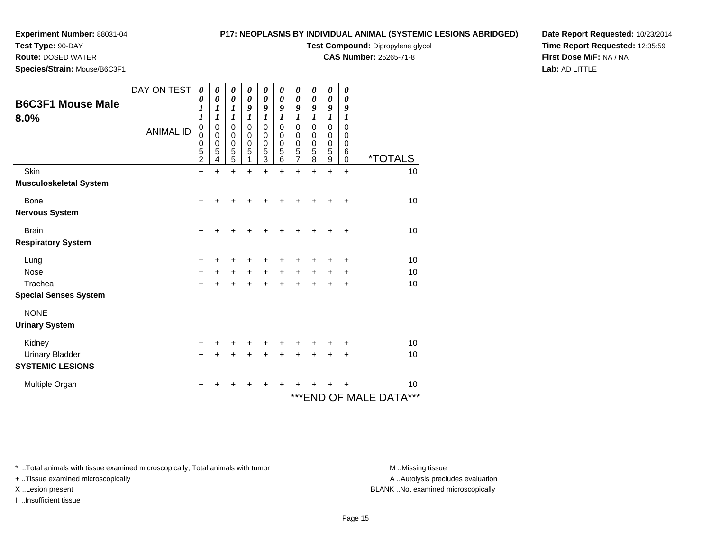**Test Type:** 90-DAY

**Route:** DOSED WATER

**Species/Strain:** Mouse/B6C3F1

## **P17: NEOPLASMS BY INDIVIDUAL ANIMAL (SYSTEMIC LESIONS ABRIDGED)**

**Test Compound:** Dipropylene glycol

**CAS Number:** 25265-71-8

**Date Report Requested:** 10/23/2014**Time Report Requested:** 12:35:59**First Dose M/F:** NA / NA**Lab:** AD LITTLE

| <b>B6C3F1 Mouse Male</b><br>8.0% | DAY ON TEST<br><b>ANIMAL ID</b> | $\boldsymbol{\theta}$<br>0<br>1<br>$\boldsymbol{l}$<br>$\mathbf 0$<br>$\mathbf 0$<br>0<br>$\frac{5}{2}$ | 0<br>$\boldsymbol{\theta}$<br>1<br>1<br>$\mathbf 0$<br>0<br>0<br>5<br>4 | 0<br>$\boldsymbol{\theta}$<br>1<br>1<br>$\pmb{0}$<br>$\mathbf 0$<br>$\pmb{0}$<br>$\frac{5}{5}$ | 0<br>0<br>9<br>1<br>$\mathbf 0$<br>$\mathbf 0$<br>0<br>5<br>1 | 0<br>0<br>9<br>1<br>0<br>0<br>$\boldsymbol{0}$<br>$\frac{5}{3}$ | 0<br>$\theta$<br>9<br>1<br>$\mathbf 0$<br>0<br>0<br>5<br>6 | 0<br>0<br>9<br>1<br>$\mathbf 0$<br>$\mathbf 0$<br>0<br>5<br>7 | 0<br>$\boldsymbol{\theta}$<br>9<br>$\mathbf 0$<br>0<br>$\mathbf 0$<br>5<br>8 | 0<br>$\boldsymbol{\theta}$<br>9<br>1<br>$\mathbf 0$<br>0<br>$\mathbf 0$<br>5<br>9 | 0<br>0<br>9<br>1<br>$\mathbf 0$<br>0<br>0<br>6<br>$\Omega$ | <i><b>*TOTALS</b></i>      |
|----------------------------------|---------------------------------|---------------------------------------------------------------------------------------------------------|-------------------------------------------------------------------------|------------------------------------------------------------------------------------------------|---------------------------------------------------------------|-----------------------------------------------------------------|------------------------------------------------------------|---------------------------------------------------------------|------------------------------------------------------------------------------|-----------------------------------------------------------------------------------|------------------------------------------------------------|----------------------------|
| Skin                             |                                 | $\ddot{}$                                                                                               | $\ddot{}$                                                               | $\ddot{}$                                                                                      | +                                                             | ÷                                                               |                                                            | $\ddot{}$                                                     | +                                                                            | $\ddot{}$                                                                         | $\ddot{}$                                                  | 10                         |
| <b>Musculoskeletal System</b>    |                                 |                                                                                                         |                                                                         |                                                                                                |                                                               |                                                                 |                                                            |                                                               |                                                                              |                                                                                   |                                                            |                            |
| Bone                             |                                 | $\ddot{}$                                                                                               |                                                                         |                                                                                                |                                                               |                                                                 |                                                            |                                                               |                                                                              |                                                                                   |                                                            | 10                         |
| <b>Nervous System</b>            |                                 |                                                                                                         |                                                                         |                                                                                                |                                                               |                                                                 |                                                            |                                                               |                                                                              |                                                                                   |                                                            |                            |
| <b>Brain</b>                     |                                 | +                                                                                                       |                                                                         |                                                                                                |                                                               |                                                                 |                                                            |                                                               |                                                                              |                                                                                   |                                                            | 10                         |
| <b>Respiratory System</b>        |                                 |                                                                                                         |                                                                         |                                                                                                |                                                               |                                                                 |                                                            |                                                               |                                                                              |                                                                                   |                                                            |                            |
| Lung                             |                                 | +                                                                                                       |                                                                         |                                                                                                |                                                               |                                                                 |                                                            |                                                               |                                                                              |                                                                                   |                                                            | 10                         |
| Nose                             |                                 | $\ddot{}$                                                                                               | +                                                                       | $\pm$                                                                                          | $\ddot{}$                                                     | $\ddot{}$                                                       | $\ddot{}$                                                  | +                                                             | $\ddot{}$                                                                    | +                                                                                 | +                                                          | 10                         |
| Trachea                          |                                 | $\ddot{}$                                                                                               |                                                                         |                                                                                                |                                                               |                                                                 |                                                            |                                                               |                                                                              |                                                                                   | +                                                          | 10                         |
| <b>Special Senses System</b>     |                                 |                                                                                                         |                                                                         |                                                                                                |                                                               |                                                                 |                                                            |                                                               |                                                                              |                                                                                   |                                                            |                            |
| <b>NONE</b>                      |                                 |                                                                                                         |                                                                         |                                                                                                |                                                               |                                                                 |                                                            |                                                               |                                                                              |                                                                                   |                                                            |                            |
| <b>Urinary System</b>            |                                 |                                                                                                         |                                                                         |                                                                                                |                                                               |                                                                 |                                                            |                                                               |                                                                              |                                                                                   |                                                            |                            |
| Kidney                           |                                 | +                                                                                                       |                                                                         |                                                                                                |                                                               |                                                                 |                                                            |                                                               |                                                                              |                                                                                   |                                                            | 10                         |
| Urinary Bladder                  |                                 | $\ddot{}$                                                                                               |                                                                         |                                                                                                |                                                               |                                                                 |                                                            |                                                               |                                                                              |                                                                                   | +                                                          | 10                         |
| <b>SYSTEMIC LESIONS</b>          |                                 |                                                                                                         |                                                                         |                                                                                                |                                                               |                                                                 |                                                            |                                                               |                                                                              |                                                                                   |                                                            |                            |
| Multiple Organ                   |                                 | +                                                                                                       |                                                                         |                                                                                                |                                                               |                                                                 |                                                            |                                                               |                                                                              |                                                                                   |                                                            | 10                         |
|                                  |                                 |                                                                                                         |                                                                         |                                                                                                |                                                               |                                                                 |                                                            |                                                               |                                                                              |                                                                                   |                                                            | ***<br>***END OF MALE DATA |

\* ..Total animals with tissue examined microscopically; Total animals with tumor **M** . Missing tissue M ..Missing tissue

+ ..Tissue examined microscopically

I ..Insufficient tissue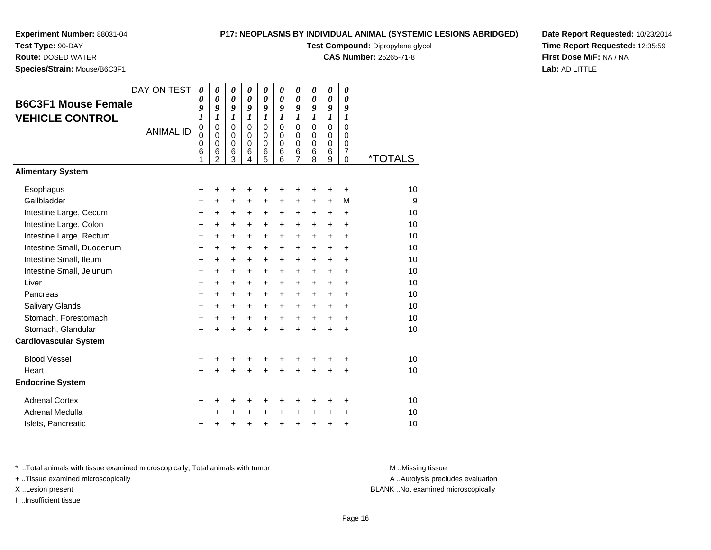# **Experiment Number:** 88031-04**Test Type:** 90-DAY

**Route:** DOSED WATER

## **P17: NEOPLASMS BY INDIVIDUAL ANIMAL (SYSTEMIC LESIONS ABRIDGED)**

**Test Compound:** Dipropylene glycol

**CAS Number:** 25265-71-8

**Date Report Requested:** 10/23/2014**Time Report Requested:** 12:35:59**First Dose M/F:** NA / NA**Lab:** AD LITTLE

| Species/Strain: Mouse/B6C3F1                         |                  |                                           |                                                    |                                                   |                                  |                                                       |                                           |                                                        |                                           |                                 |                                                  |                              |
|------------------------------------------------------|------------------|-------------------------------------------|----------------------------------------------------|---------------------------------------------------|----------------------------------|-------------------------------------------------------|-------------------------------------------|--------------------------------------------------------|-------------------------------------------|---------------------------------|--------------------------------------------------|------------------------------|
|                                                      | DAY ON TEST      | 0<br>0                                    | 0<br>$\boldsymbol{\theta}$                         | 0<br>$\boldsymbol{\theta}$                        | 0<br>$\boldsymbol{\theta}$       | 0<br>$\boldsymbol{\theta}$                            | $\pmb{\theta}$<br>$\boldsymbol{\theta}$   | 0<br>0                                                 | 0<br>0                                    | 0<br>0                          | 0<br>0                                           |                              |
| <b>B6C3F1 Mouse Female</b><br><b>VEHICLE CONTROL</b> |                  | 9<br>$\boldsymbol{l}$                     | 9<br>1                                             | 9<br>1                                            | 9<br>1                           | 9<br>$\boldsymbol{l}$                                 | 9<br>1                                    | 9<br>$\boldsymbol{l}$                                  | 9<br>1                                    | 9<br>1                          | 9<br>1                                           |                              |
|                                                      | <b>ANIMAL ID</b> | $\mathbf 0$<br>0<br>$\mathbf 0$<br>6<br>1 | $\Omega$<br>0<br>$\mathbf 0$<br>6<br>$\mathcal{P}$ | $\mathbf 0$<br>$\mathbf 0$<br>$\pmb{0}$<br>6<br>3 | $\mathbf{0}$<br>0<br>0<br>6<br>4 | $\mathbf 0$<br>$\mathbf 0$<br>$\pmb{0}$<br>$\,6$<br>5 | $\mathbf 0$<br>0<br>$\mathbf 0$<br>6<br>6 | $\mathbf 0$<br>0<br>$\mathbf 0$<br>6<br>$\overline{7}$ | $\mathbf 0$<br>0<br>$\mathbf 0$<br>6<br>8 | 0<br>$\mathbf 0$<br>0<br>6<br>9 | $\Omega$<br>0<br>0<br>$\overline{7}$<br>$\Omega$ | <u><i><b>*TOTALS</b></i></u> |
| <b>Alimentary System</b>                             |                  |                                           |                                                    |                                                   |                                  |                                                       |                                           |                                                        |                                           |                                 |                                                  |                              |
| Esophagus                                            |                  | +                                         | +                                                  | +                                                 | +                                | +                                                     | +                                         | +                                                      | +                                         | +                               | +                                                | 10                           |
| Gallbladder                                          |                  | $\ddot{}$                                 | $\ddot{}$                                          | $\ddot{}$                                         | $\ddot{}$                        | $\ddot{}$                                             | $\ddot{}$                                 | $\ddot{}$                                              | $\ddot{}$                                 | $\ddot{}$                       | M                                                | 9                            |
| Intestine Large, Cecum                               |                  | +                                         | +                                                  | +                                                 | +                                | $\ddot{}$                                             | +                                         | $\ddot{}$                                              | $\ddot{}$                                 | +                               | $\ddot{}$                                        | 10                           |
| Intestine Large, Colon                               |                  | +                                         | +                                                  | $\ddot{}$                                         | +                                | $\ddot{}$                                             | +                                         | $\ddot{}$                                              | +                                         | $\ddot{}$                       | $\ddot{}$                                        | 10                           |
| Intestine Large, Rectum                              |                  | $\ddot{}$                                 | $\ddot{}$                                          | $\ddot{}$                                         | $\ddot{}$                        | $\ddot{}$                                             | $\ddot{}$                                 | $\ddot{}$                                              | $\ddot{}$                                 | $\ddot{}$                       | $\ddot{}$                                        | 10                           |
| Intestine Small, Duodenum                            |                  | +                                         | +                                                  | +                                                 | +                                | +                                                     | $\ddot{}$                                 | $\ddot{}$                                              | $\ddot{}$                                 | $\ddot{}$                       | $\ddot{}$                                        | 10                           |
| Intestine Small, Ileum                               |                  | $\ddot{}$                                 | $\ddot{}$                                          | $\ddot{}$                                         | $\ddot{}$                        | $\ddot{}$                                             | $\ddot{}$                                 | $\ddot{}$                                              | $\ddot{}$                                 | $\ddot{}$                       | $\ddot{}$                                        | 10                           |
| Intestine Small, Jejunum                             |                  | $\ddot{}$                                 | $\ddot{}$                                          | $\ddot{}$                                         | $\ddot{}$                        | $\ddot{}$                                             | $\ddot{}$                                 | $\ddot{}$                                              | +                                         | $\ddot{}$                       | $\ddot{}$                                        | 10                           |
| Liver                                                |                  | $\ddot{}$                                 | +                                                  | $\ddot{}$                                         | $\ddot{}$                        | $\ddot{}$                                             | $\ddot{}$                                 | $\pm$                                                  | $\ddot{}$                                 | $+$                             | +                                                | 10                           |
| Pancreas                                             |                  | $\ddot{}$                                 | $\ddot{}$                                          | $\ddot{}$                                         | $\ddot{}$                        | $\ddot{}$                                             | $\ddot{}$                                 | $+$                                                    | $\ddot{}$                                 | $\ddot{}$                       | $\ddot{}$                                        | 10                           |
| Salivary Glands                                      |                  | $\ddot{}$                                 | $\ddot{}$                                          | $\ddot{}$                                         | $\ddot{}$                        | $\ddot{}$                                             | $\ddot{}$                                 | $\ddot{}$                                              | $\ddot{}$                                 | $\ddot{}$                       | $\ddot{}$                                        | 10                           |
| Stomach, Forestomach                                 |                  | $\ddot{}$                                 | +                                                  | $\ddot{}$                                         | $\ddot{}$                        | $\ddot{}$                                             | $\ddot{}$                                 | $+$                                                    | $\ddot{}$                                 | $+$                             | $\ddot{}$                                        | 10                           |
| Stomach, Glandular                                   |                  | $\ddot{}$                                 | $\ddot{}$                                          | $\ddot{}$                                         | $\ddot{}$                        | $\ddot{}$                                             | $\ddot{}$                                 | $\ddot{}$                                              | $\ddot{}$                                 | $\ddot{}$                       | $\ddot{}$                                        | 10                           |
| <b>Cardiovascular System</b>                         |                  |                                           |                                                    |                                                   |                                  |                                                       |                                           |                                                        |                                           |                                 |                                                  |                              |
| <b>Blood Vessel</b>                                  |                  | +                                         | +                                                  | +                                                 | +                                | +                                                     | +                                         | +                                                      | +                                         | +                               | +                                                | 10                           |
| Heart                                                |                  | $\ddot{}$                                 | $\ddot{}$                                          | +                                                 | $\ddot{}$                        | $\ddot{}$                                             | $\ddot{}$                                 | $+$                                                    | $\ddot{}$                                 | $+$                             | $\ddot{}$                                        | 10                           |
| <b>Endocrine System</b>                              |                  |                                           |                                                    |                                                   |                                  |                                                       |                                           |                                                        |                                           |                                 |                                                  |                              |
| <b>Adrenal Cortex</b>                                |                  | ٠                                         | +                                                  | +                                                 | +                                | ٠                                                     |                                           | ٠                                                      | +                                         | ٠                               | +                                                | 10                           |
| Adrenal Medulla                                      |                  | ٠                                         | +                                                  | $\pm$                                             | +                                | $\pm$                                                 | $\pm$                                     | $\pm$                                                  | +                                         | +                               | +                                                | 10                           |
| Islets, Pancreatic                                   |                  | $\ddot{}$                                 | +                                                  | $\ddot{}$                                         | $\ddot{}$                        | +                                                     | +                                         | +                                                      | $\ddot{}$                                 | $\ddot{}$                       | $\ddot{}$                                        | 10                           |

\* ..Total animals with tissue examined microscopically; Total animals with tumor **M** . Missing tissue M ..Missing tissue

+ ..Tissue examined microscopically

I ..Insufficient tissue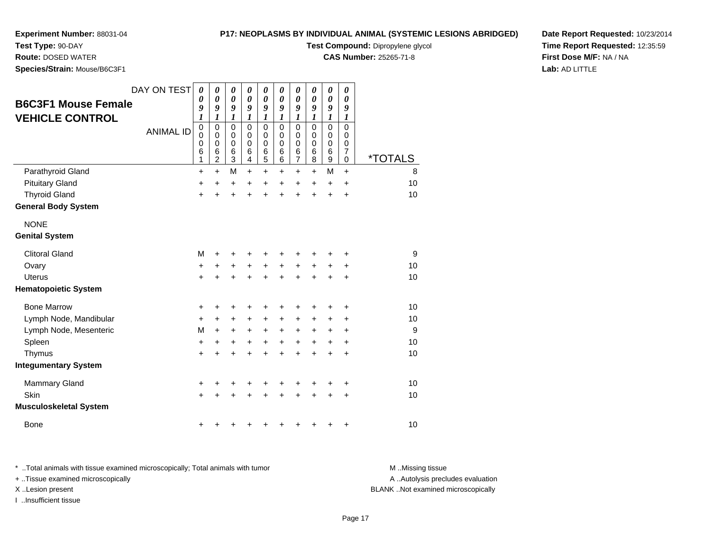**Species/Strain:** Mouse/B6C3F1

**Test Type:** 90-DAY**Route:** DOSED WATER

# **P17: NEOPLASMS BY INDIVIDUAL ANIMAL (SYSTEMIC LESIONS ABRIDGED)**

**Test Compound:** Dipropylene glycol

**CAS Number:** 25265-71-8

**Date Report Requested:** 10/23/2014**Time Report Requested:** 12:35:59**First Dose M/F:** NA / NA**Lab:** AD LITTLE

| <b>B6C3F1 Mouse Female</b><br><b>VEHICLE CONTROL</b><br>Parathyroid Gland | DAY ON TEST<br><b>ANIMAL ID</b> | 0<br>0<br>9<br>$\boldsymbol{l}$<br>$\mathbf 0$<br>$\mathbf 0$<br>$\mathbf 0$<br>6<br>1<br>+ | 0<br>$\boldsymbol{\theta}$<br>9<br>1<br>$\pmb{0}$<br>0<br>$\pmb{0}$<br>6<br>$\overline{c}$<br>$\ddot{}$ | 0<br>0<br>9<br>1<br>$\mathbf 0$<br>0<br>0<br>6<br>3<br>M | 0<br>0<br>9<br>1<br>$\mathbf 0$<br>0<br>0<br>6<br>4<br>$\ddot{}$ | 0<br>0<br>9<br>1<br>$\mathbf 0$<br>0<br>0<br>6<br>5<br>$\ddot{}$ | 0<br>0<br>$\boldsymbol{g}$<br>1<br>$\mathbf 0$<br>$\Omega$<br>0<br>6<br>6<br>+ | 0<br>0<br>9<br>1<br>$\mathbf 0$<br>0<br>0<br>6<br>7<br>+ | 0<br>0<br>9<br>1<br>$\mathbf 0$<br>0<br>0<br>6<br>8<br>+ | 0<br>0<br>9<br>$\boldsymbol{l}$<br>$\mathbf 0$<br>0<br>$\pmb{0}$<br>$6\phantom{1}6$<br>9<br>M | 0<br>0<br>9<br>1<br>$\Omega$<br>$\Omega$<br>0<br>$\overline{7}$<br>$\Omega$<br>$\ddot{}$ | <i><b>*TOTALS</b></i><br>8 |
|---------------------------------------------------------------------------|---------------------------------|---------------------------------------------------------------------------------------------|---------------------------------------------------------------------------------------------------------|----------------------------------------------------------|------------------------------------------------------------------|------------------------------------------------------------------|--------------------------------------------------------------------------------|----------------------------------------------------------|----------------------------------------------------------|-----------------------------------------------------------------------------------------------|------------------------------------------------------------------------------------------|----------------------------|
| <b>Pituitary Gland</b>                                                    |                                 | +                                                                                           | +                                                                                                       | +                                                        | +                                                                | +                                                                | +                                                                              | +                                                        | +                                                        | +                                                                                             | +                                                                                        | 10                         |
| <b>Thyroid Gland</b>                                                      |                                 | $\ddot{}$                                                                                   | ÷.                                                                                                      | $\ddot{}$                                                | $\ddot{}$                                                        | $\ddot{}$                                                        | $\ddot{}$                                                                      | $\ddot{}$                                                | $\ddot{}$                                                | $\ddot{}$                                                                                     | $\ddot{}$                                                                                | 10                         |
| <b>General Body System</b>                                                |                                 |                                                                                             |                                                                                                         |                                                          |                                                                  |                                                                  |                                                                                |                                                          |                                                          |                                                                                               |                                                                                          |                            |
| <b>NONE</b><br><b>Genital System</b>                                      |                                 |                                                                                             |                                                                                                         |                                                          |                                                                  |                                                                  |                                                                                |                                                          |                                                          |                                                                                               |                                                                                          |                            |
| <b>Clitoral Gland</b>                                                     |                                 | M                                                                                           | ٠                                                                                                       | +                                                        | +                                                                | +                                                                | +                                                                              | +                                                        | +                                                        | +                                                                                             | +                                                                                        | 9                          |
| Ovary                                                                     |                                 | $\ddot{}$                                                                                   | +                                                                                                       | +                                                        | $\ddot{}$                                                        | +                                                                | $\ddot{}$                                                                      | $\ddot{}$                                                | $\ddot{}$                                                | $\ddot{}$                                                                                     | $\ddot{}$                                                                                | 10                         |
| Uterus                                                                    |                                 | $\ddot{}$                                                                                   | $\ddot{}$                                                                                               | $\ddot{}$                                                | $\ddot{}$                                                        | $\ddot{}$                                                        | $\ddot{}$                                                                      | $\ddot{}$                                                | $\ddot{}$                                                | $\ddot{}$                                                                                     | $\ddot{}$                                                                                | 10                         |
| <b>Hematopoietic System</b>                                               |                                 |                                                                                             |                                                                                                         |                                                          |                                                                  |                                                                  |                                                                                |                                                          |                                                          |                                                                                               |                                                                                          |                            |
| <b>Bone Marrow</b>                                                        |                                 | +                                                                                           | ٠                                                                                                       | +                                                        | +                                                                | +                                                                | +                                                                              | +                                                        | +                                                        | +                                                                                             | +                                                                                        | 10                         |
| Lymph Node, Mandibular                                                    |                                 | +                                                                                           | +                                                                                                       | +                                                        | +                                                                | +                                                                | +                                                                              | +                                                        | +                                                        | +                                                                                             | +                                                                                        | 10                         |
| Lymph Node, Mesenteric                                                    |                                 | M                                                                                           | +                                                                                                       | +                                                        | +                                                                | +                                                                | +                                                                              | +                                                        | +                                                        | +                                                                                             | +                                                                                        | 9                          |
| Spleen                                                                    |                                 | $\ddot{}$                                                                                   | +                                                                                                       | +                                                        | +                                                                | $\ddot{}$                                                        | $\ddot{}$                                                                      | $\ddot{}$                                                | $\ddot{}$                                                | +                                                                                             | $\ddot{}$                                                                                | 10                         |
| Thymus                                                                    |                                 | $\ddot{}$                                                                                   | ÷                                                                                                       | $\ddot{}$                                                | $\ddot{}$                                                        | $\ddot{}$                                                        | $\ddot{}$                                                                      | $\ddot{}$                                                | $\ddot{}$                                                | $\ddot{}$                                                                                     | +                                                                                        | 10                         |
| <b>Integumentary System</b>                                               |                                 |                                                                                             |                                                                                                         |                                                          |                                                                  |                                                                  |                                                                                |                                                          |                                                          |                                                                                               |                                                                                          |                            |
| <b>Mammary Gland</b>                                                      |                                 | +                                                                                           |                                                                                                         | +                                                        | +                                                                | +                                                                | +                                                                              | +                                                        | +                                                        | +                                                                                             | +                                                                                        | 10                         |
| Skin                                                                      |                                 | $\ddot{}$                                                                                   |                                                                                                         | +                                                        |                                                                  | +                                                                |                                                                                | +                                                        |                                                          | +                                                                                             | $\ddot{}$                                                                                | 10                         |
| Musculoskeletal System                                                    |                                 |                                                                                             |                                                                                                         |                                                          |                                                                  |                                                                  |                                                                                |                                                          |                                                          |                                                                                               |                                                                                          |                            |
| <b>Bone</b>                                                               |                                 | +                                                                                           |                                                                                                         | +                                                        | ٠                                                                | +                                                                | +                                                                              | +                                                        | +                                                        | +                                                                                             | +                                                                                        | 10                         |

\* ..Total animals with tissue examined microscopically; Total animals with tumor **M** . Missing tissue M ..Missing tissue A ..Autolysis precludes evaluation + ..Tissue examined microscopically X ..Lesion present BLANK ..Not examined microscopicallyI ..Insufficient tissue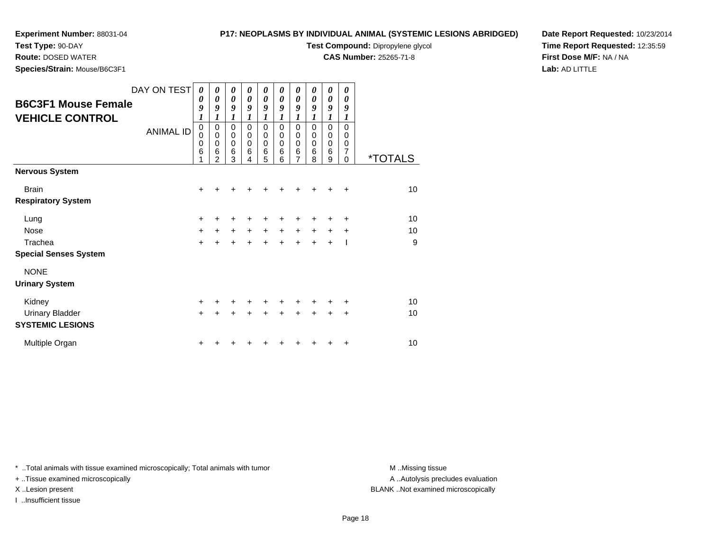**Species/Strain:** Mouse/B6C3F1

**Test Type:** 90-DAY**Route:** DOSED WATER

## **P17: NEOPLASMS BY INDIVIDUAL ANIMAL (SYSTEMIC LESIONS ABRIDGED)**

**Test Compound:** Dipropylene glycol

**CAS Number:** 25265-71-8

**Date Report Requested:** 10/23/2014**Time Report Requested:** 12:35:59**First Dose M/F:** NA / NA**Lab:** AD LITTLE

|                              | DAY ON TEST      | 0                          | 0                          | 0                    | 0<br>$\theta$    | 0                          | 0                          | 0                       | 0                | 0                | 0             |                       |
|------------------------------|------------------|----------------------------|----------------------------|----------------------|------------------|----------------------------|----------------------------|-------------------------|------------------|------------------|---------------|-----------------------|
| <b>B6C3F1 Mouse Female</b>   |                  | $\boldsymbol{\theta}$<br>9 | $\boldsymbol{\theta}$<br>9 | 0<br>9               | 9                | 0<br>9                     | 0<br>9                     | 0<br>9                  | 0<br>9           | 0<br>9           | 0<br>9        |                       |
| <b>VEHICLE CONTROL</b>       |                  | $\boldsymbol{l}$           |                            | 1                    |                  | 1                          | 1                          | 1                       |                  | 1                | 1             |                       |
|                              | <b>ANIMAL ID</b> | $\mathbf 0$<br>0           | $\pmb{0}$<br>$\mathbf 0$   | 0<br>$\mathbf 0$     | 0<br>$\mathbf 0$ | $\mathbf 0$<br>$\mathbf 0$ | $\mathbf 0$<br>$\mathbf 0$ | 0<br>$\pmb{0}$          | 0<br>$\mathbf 0$ | 0<br>$\mathbf 0$ | 0<br>0        |                       |
|                              |                  | 0                          | 0                          | $\mathbf 0$          | 0                | 0                          | 0                          | $\pmb{0}$               | 0                | $\mathbf 0$      | 0             |                       |
|                              |                  | 6                          | 6<br>$\mathfrak{p}$        | $6\phantom{1}6$<br>3 | 6<br>4           | $6\phantom{1}6$<br>5       | 6<br>6                     | $\,6$<br>$\overline{7}$ | 6<br>8           | 6<br>9           | 7<br>$\Omega$ | <i><b>*TOTALS</b></i> |
| Nervous System               |                  |                            |                            |                      |                  |                            |                            |                         |                  |                  |               |                       |
| <b>Brain</b>                 |                  | $\ddot{}$                  | +                          | +                    | +                | ٠                          | ٠                          | ٠                       | +                | +                | ÷             | 10                    |
| <b>Respiratory System</b>    |                  |                            |                            |                      |                  |                            |                            |                         |                  |                  |               |                       |
| Lung                         |                  | +                          |                            |                      |                  |                            |                            |                         |                  |                  | +             | 10                    |
| Nose                         |                  | $+$                        | $\pm$                      | $+$                  | $\ddot{}$        | $\ddot{}$                  | $\ddot{}$                  | $\ddot{}$               | $\ddot{}$        | $\pm$            | ÷             | 10                    |
| Trachea                      |                  | $\ddot{}$                  |                            | $\ddot{}$            | $\ddot{}$        | $\ddot{}$                  | $\ddot{}$                  | $\ddot{}$               | ÷                | $\ddot{}$        |               | 9                     |
| <b>Special Senses System</b> |                  |                            |                            |                      |                  |                            |                            |                         |                  |                  |               |                       |
| <b>NONE</b>                  |                  |                            |                            |                      |                  |                            |                            |                         |                  |                  |               |                       |
| <b>Urinary System</b>        |                  |                            |                            |                      |                  |                            |                            |                         |                  |                  |               |                       |
| Kidney                       |                  | $\ddot{}$                  | +                          | +                    | +                | +                          | +                          | +                       |                  | +                | ٠             | 10                    |
| <b>Urinary Bladder</b>       |                  | $+$                        | $\ddot{}$                  | $\ddot{}$            |                  | $\ddot{}$                  | $\ddot{}$                  | $\ddot{}$               |                  | $\ddot{}$        | $\ddot{}$     | 10                    |
| <b>SYSTEMIC LESIONS</b>      |                  |                            |                            |                      |                  |                            |                            |                         |                  |                  |               |                       |
| Multiple Organ               |                  | +                          |                            |                      |                  |                            |                            |                         |                  |                  | ٠             | 10                    |
|                              |                  |                            |                            |                      |                  |                            |                            |                         |                  |                  |               |                       |

\* ..Total animals with tissue examined microscopically; Total animals with tumor **M** . Missing tissue M ..Missing tissue

+ ..Tissue examined microscopically

I ..Insufficient tissue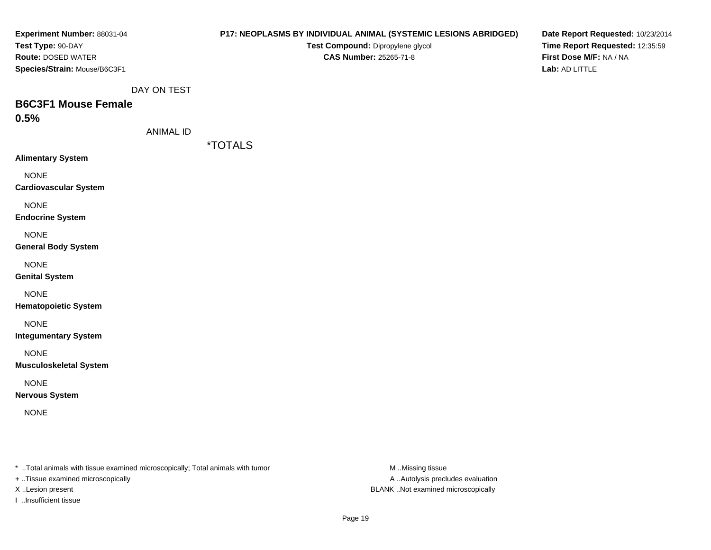| Experiment Number: 88031-04                                                    |                  | P17: NEOPLASMS BY INDIVIDUAL ANIMAL (SYSTEMIC LESIONS ABRIDGED) |                  | Date Report Requested: 10/23/2014         |
|--------------------------------------------------------------------------------|------------------|-----------------------------------------------------------------|------------------|-------------------------------------------|
| Test Type: 90-DAY                                                              |                  | Test Compound: Dipropylene glycol                               |                  | Time Report Requested: 12:35:59           |
| Route: DOSED WATER                                                             |                  | <b>CAS Number: 25265-71-8</b>                                   |                  | First Dose M/F: NA / NA<br>Lab: AD LITTLE |
| Species/Strain: Mouse/B6C3F1                                                   |                  |                                                                 |                  |                                           |
|                                                                                | DAY ON TEST      |                                                                 |                  |                                           |
| <b>B6C3F1 Mouse Female</b>                                                     |                  |                                                                 |                  |                                           |
| 0.5%                                                                           |                  |                                                                 |                  |                                           |
|                                                                                | <b>ANIMAL ID</b> |                                                                 |                  |                                           |
|                                                                                |                  | <i><b>*TOTALS</b></i>                                           |                  |                                           |
| <b>Alimentary System</b>                                                       |                  |                                                                 |                  |                                           |
| <b>NONE</b>                                                                    |                  |                                                                 |                  |                                           |
| <b>Cardiovascular System</b>                                                   |                  |                                                                 |                  |                                           |
| <b>NONE</b>                                                                    |                  |                                                                 |                  |                                           |
| <b>Endocrine System</b>                                                        |                  |                                                                 |                  |                                           |
| <b>NONE</b>                                                                    |                  |                                                                 |                  |                                           |
| <b>General Body System</b>                                                     |                  |                                                                 |                  |                                           |
| <b>NONE</b>                                                                    |                  |                                                                 |                  |                                           |
| <b>Genital System</b>                                                          |                  |                                                                 |                  |                                           |
| <b>NONE</b>                                                                    |                  |                                                                 |                  |                                           |
| <b>Hematopoietic System</b>                                                    |                  |                                                                 |                  |                                           |
|                                                                                |                  |                                                                 |                  |                                           |
| <b>NONE</b><br><b>Integumentary System</b>                                     |                  |                                                                 |                  |                                           |
|                                                                                |                  |                                                                 |                  |                                           |
| <b>NONE</b>                                                                    |                  |                                                                 |                  |                                           |
| <b>Musculoskeletal System</b>                                                  |                  |                                                                 |                  |                                           |
| <b>NONE</b>                                                                    |                  |                                                                 |                  |                                           |
| <b>Nervous System</b>                                                          |                  |                                                                 |                  |                                           |
| <b>NONE</b>                                                                    |                  |                                                                 |                  |                                           |
|                                                                                |                  |                                                                 |                  |                                           |
|                                                                                |                  |                                                                 |                  |                                           |
|                                                                                |                  |                                                                 |                  |                                           |
| * Total animals with tissue examined microscopically; Total animals with tumor |                  |                                                                 | M Missing tissue |                                           |

+ ..Tissue examined microscopically

I ..Insufficient tissue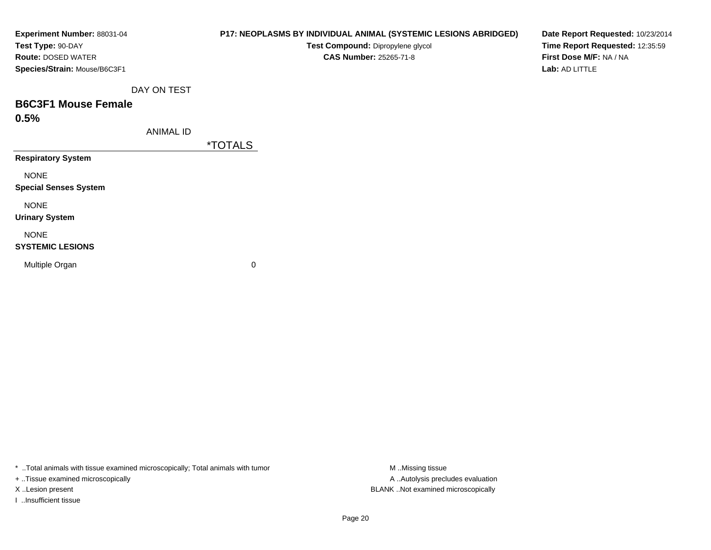| Experiment Number: 88031-04  |                  | P17: NEOPLASMS BY INDIVIDUAL ANIMAL (SYSTEMIC LESIONS ABRIDGED) | Date Report Requested: 10/23/2014 |
|------------------------------|------------------|-----------------------------------------------------------------|-----------------------------------|
| Test Type: 90-DAY            |                  | Test Compound: Dipropylene glycol                               | Time Report Requested: 12:35:59   |
| <b>Route: DOSED WATER</b>    |                  | <b>CAS Number: 25265-71-8</b>                                   | First Dose M/F: NA / NA           |
| Species/Strain: Mouse/B6C3F1 |                  |                                                                 | Lab: AD LITTLE                    |
|                              | DAY ON TEST      |                                                                 |                                   |
| <b>B6C3F1 Mouse Female</b>   |                  |                                                                 |                                   |
| 0.5%                         |                  |                                                                 |                                   |
|                              | <b>ANIMAL ID</b> |                                                                 |                                   |
|                              |                  | <i><b>*TOTALS</b></i>                                           |                                   |
| <b>Respiratory System</b>    |                  |                                                                 |                                   |
| <b>NONE</b>                  |                  |                                                                 |                                   |
| <b>Special Senses System</b> |                  |                                                                 |                                   |
| <b>NONE</b>                  |                  |                                                                 |                                   |
| <b>Urinary System</b>        |                  |                                                                 |                                   |
| <b>NONE</b>                  |                  |                                                                 |                                   |
| <b>SYSTEMIC LESIONS</b>      |                  |                                                                 |                                   |
| Multiple Organ               |                  | 0                                                               |                                   |
|                              |                  |                                                                 |                                   |
|                              |                  |                                                                 |                                   |

\* ..Total animals with tissue examined microscopically; Total animals with tumor M..Missing tissue M ..Missing tissue

+ ..Tissue examined microscopically

I ..Insufficient tissue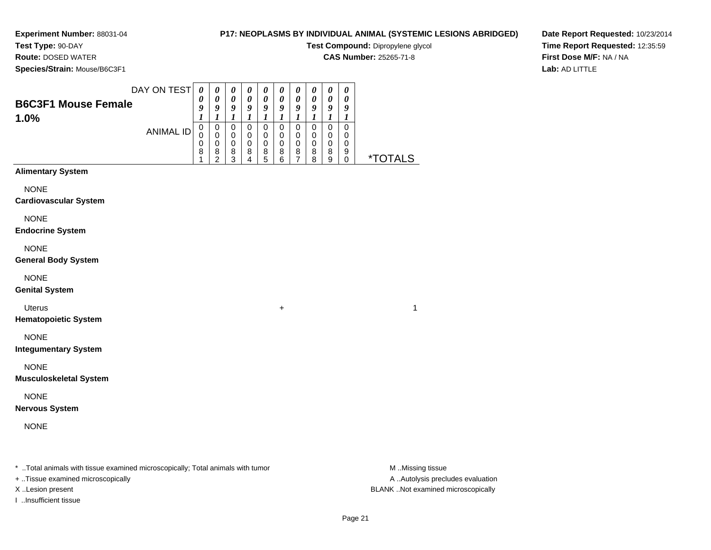**Test Type:** 90-DAY**Route:** DOSED WATER

# **P17: NEOPLASMS BY INDIVIDUAL ANIMAL (SYSTEMIC LESIONS ABRIDGED)**

**Test Compound:** Dipropylene glycol

**CAS Number:** 25265-71-8

**Date Report Requested:** 10/23/2014**Time Report Requested:** 12:35:59**First Dose M/F:** NA / NA**Lab:** AD LITTLE

**Species/Strain:** Mouse/B6C3F1

| <b>Species/Strain:</b> Mouse/B6C3F1 |                            |                       |                       |                       |                       |                       |                       |        |                       |                       |                       |
|-------------------------------------|----------------------------|-----------------------|-----------------------|-----------------------|-----------------------|-----------------------|-----------------------|--------|-----------------------|-----------------------|-----------------------|
| DAY ON TEST                         |                            | $\boldsymbol{\theta}$ | $\boldsymbol{\theta}$ | $\boldsymbol{\theta}$ | $\boldsymbol{\theta}$ | $\boldsymbol{\theta}$ | $\boldsymbol{\theta}$ | U      | $\boldsymbol{\theta}$ | $\boldsymbol{\theta}$ |                       |
| <b>B6C3F1 Mouse Female</b>          | $\boldsymbol{\theta}$<br>9 | U<br>Y                | 0<br>9                | 0<br>Q                | 0<br>9                | 0<br>Q                | 0<br>9                | 0<br>9 | 0<br>Y                | 9                     |                       |
| 1.0%                                |                            |                       |                       |                       |                       |                       |                       |        |                       |                       |                       |
| ANIMAL ID                           |                            | 0                     | 0                     |                       | 0                     | 0                     | 0                     | 0      | 0                     | 0                     |                       |
|                                     |                            |                       | 0                     | 0                     | 0                     | 0                     | 0                     | 0      | 0                     | 0                     |                       |
|                                     | 0                          |                       | 0                     | 0                     | 0                     | 0                     | 0                     | 0      | 0                     | 0                     |                       |
|                                     | 8                          | 8<br>◠                | 8<br>າ                | 8                     | 8<br>5                | 8<br>6                | 8                     | 8<br>я | 8<br>9                | 9                     | <i><b>*TOTALS</b></i> |

# **Alimentary System**

NONE

**Cardiovascular System**

NONE

**Endocrine System**

NONE

**General Body System**

NONE

**Genital System**

Uterus<sup>+</sup>

**Hematopoietic System**

NONE

**Integumentary System**

NONE

**Musculoskeletal System**

NONE

**Nervous System**

NONE

\* ..Total animals with tissue examined microscopically; Total animals with tumor **M** ...Missing tissue M ...Missing tissue

+ ..Tissue examined microscopically

I ..Insufficient tissue

A .. Autolysis precludes evaluation X ..Lesion present BLANK ..Not examined microscopically

 $\overline{1}$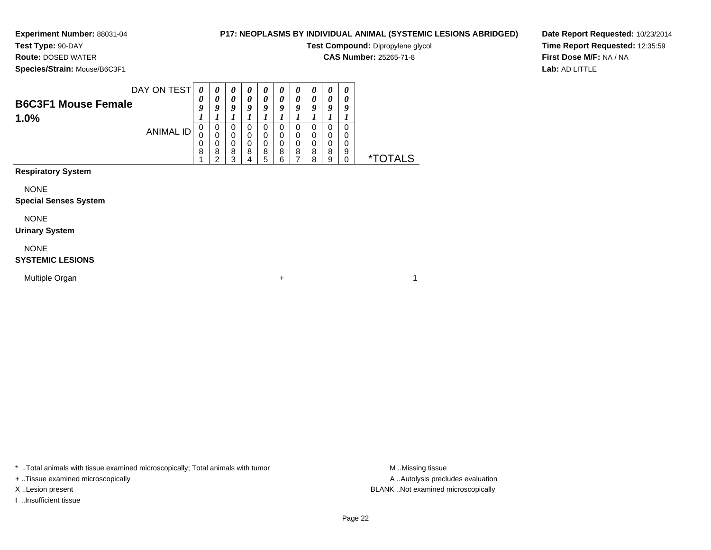**Test Type:** 90-DAY**Route:** DOSED WATER

# **P17: NEOPLASMS BY INDIVIDUAL ANIMAL (SYSTEMIC LESIONS ABRIDGED)**

**Test Compound:** Dipropylene glycol

**CAS Number:** 25265-71-8

**Species/Strain:** Mouse/B6C3F1

**Date Report Requested:** 10/23/2014**Time Report Requested:** 12:35:59**First Dose M/F:** NA / NA**Lab:** AD LITTLE

| DAY ON TEST                |            |   | $\boldsymbol{\theta}$ | U | $\boldsymbol{\theta}$ | U | U                     | U | U                     | U |                    |
|----------------------------|------------|---|-----------------------|---|-----------------------|---|-----------------------|---|-----------------------|---|--------------------|
| <b>B6C3F1 Mouse Female</b> | 0          |   |                       |   | 0                     |   | $\boldsymbol{\theta}$ |   | $\boldsymbol{\theta}$ |   |                    |
|                            | $\epsilon$ | O | Q                     |   | o                     |   | o                     | o | a                     | a |                    |
| 1.0%                       |            |   |                       |   |                       |   |                       |   |                       |   |                    |
| ANIMAL ID                  | 0          | υ | U                     | U | 0                     |   | O                     |   | 0                     |   |                    |
|                            | U          |   | 0                     |   | 0                     |   |                       |   |                       |   |                    |
|                            | 0          |   | 0                     |   | 0                     |   |                       |   | 0                     |   |                    |
|                            | 8          | 8 | 8                     | 8 | 8                     | 8 | 8                     | 8 | 8                     | 9 |                    |
|                            |            | ົ | っ                     |   | 5                     | R |                       | я | Q                     |   |                    |
|                            |            |   |                       |   |                       |   |                       |   |                       |   | $\star^-$<br>TAI S |

**Respiratory System**

NONE

#### **Special Senses System**

NONE

#### **Urinary System**

NONE

## **SYSTEMIC LESIONS**

Multiple Organn  $+$ 

\* ..Total animals with tissue examined microscopically; Total animals with tumor **M** ...Missing tissue M ...Missing tissue

+ ..Tissue examined microscopically

I ..Insufficient tissue

A .. Autolysis precludes evaluation X ..Lesion present BLANK ..Not examined microscopically

 $\overline{1}$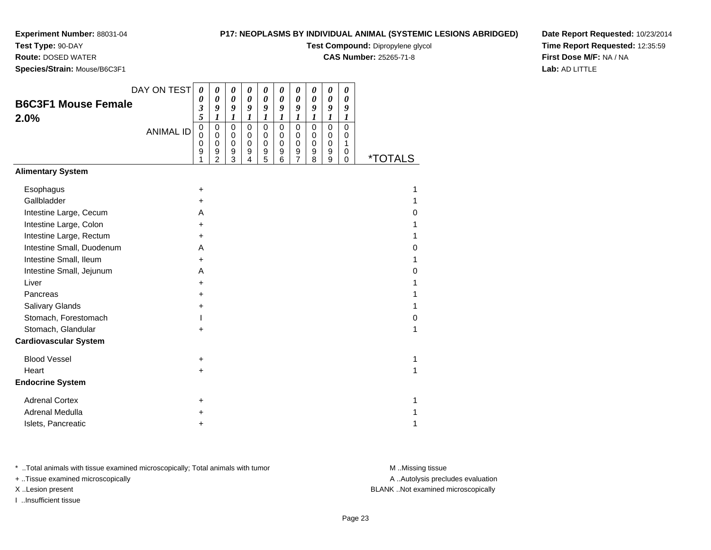**Test Type:** 90-DAY

**Route:** DOSED WATER

**Species/Strain:** Mouse/B6C3F1

## **P17: NEOPLASMS BY INDIVIDUAL ANIMAL (SYSTEMIC LESIONS ABRIDGED)**

**Test Compound:** Dipropylene glycol

**CAS Number:** 25265-71-8

**Date Report Requested:** 10/23/2014**Time Report Requested:** 12:35:59**First Dose M/F:** NA / NA**Lab:** AD LITTLE

| DAY ON TEST                  | 0                                                | 0                                                      | 0                                                   | 0                                                            | 0                                                   | $\boldsymbol{\theta}$                       | 0                                                      | 0                                         | 0                                         | 0                                                       |                       |
|------------------------------|--------------------------------------------------|--------------------------------------------------------|-----------------------------------------------------|--------------------------------------------------------------|-----------------------------------------------------|---------------------------------------------|--------------------------------------------------------|-------------------------------------------|-------------------------------------------|---------------------------------------------------------|-----------------------|
| <b>B6C3F1 Mouse Female</b>   | 0<br>3                                           | $\boldsymbol{\theta}$<br>9                             | $\boldsymbol{\theta}$<br>9                          | $\boldsymbol{\theta}$<br>9                                   | $\boldsymbol{\theta}$<br>9                          | 0<br>9                                      | $\boldsymbol{\theta}$<br>9                             | 0<br>9                                    | $\boldsymbol{\theta}$<br>9                | 0<br>9                                                  |                       |
| 2.0%                         | 5                                                | $\boldsymbol{l}$                                       | $\boldsymbol{l}$                                    | $\boldsymbol{l}$                                             | $\boldsymbol{l}$                                    | $\boldsymbol{l}$                            | $\boldsymbol{l}$                                       | 1                                         | $\boldsymbol{l}$                          | 1                                                       |                       |
| <b>ANIMAL ID</b>             | $\mathbf 0$<br>$\Omega$<br>$\mathbf 0$<br>9<br>1 | 0<br>$\mathbf 0$<br>$\mathbf 0$<br>9<br>$\overline{2}$ | $\mathbf 0$<br>$\mathbf 0$<br>$\mathbf 0$<br>9<br>3 | $\mathsf 0$<br>$\pmb{0}$<br>$\pmb{0}$<br>9<br>$\overline{4}$ | $\mathbf 0$<br>$\mathbf 0$<br>$\mathbf 0$<br>9<br>5 | $\mathsf 0$<br>$\,0\,$<br>$\,0\,$<br>9<br>6 | $\mathbf 0$<br>$\pmb{0}$<br>$\pmb{0}$<br>$\frac{9}{7}$ | $\mathbf 0$<br>0<br>$\mathbf 0$<br>9<br>8 | $\mathbf 0$<br>0<br>$\mathbf 0$<br>9<br>9 | $\overline{0}$<br>0<br>$\mathbf{1}$<br>0<br>$\mathbf 0$ | <i><b>*TOTALS</b></i> |
| <b>Alimentary System</b>     |                                                  |                                                        |                                                     |                                                              |                                                     |                                             |                                                        |                                           |                                           |                                                         |                       |
| Esophagus                    | $\ddot{}$                                        |                                                        |                                                     |                                                              |                                                     |                                             |                                                        |                                           |                                           |                                                         | 1                     |
| Gallbladder                  | +                                                |                                                        |                                                     |                                                              |                                                     |                                             |                                                        |                                           |                                           |                                                         | 1                     |
| Intestine Large, Cecum       | A                                                |                                                        |                                                     |                                                              |                                                     |                                             |                                                        |                                           |                                           |                                                         | 0                     |
| Intestine Large, Colon       | +                                                |                                                        |                                                     |                                                              |                                                     |                                             |                                                        |                                           |                                           |                                                         | 1                     |
| Intestine Large, Rectum      | $\ddot{}$                                        |                                                        |                                                     |                                                              |                                                     |                                             |                                                        |                                           |                                           |                                                         | 1                     |
| Intestine Small, Duodenum    | A                                                |                                                        |                                                     |                                                              |                                                     |                                             |                                                        |                                           |                                           |                                                         | 0                     |
| Intestine Small, Ileum       | $\ddot{}$                                        |                                                        |                                                     |                                                              |                                                     |                                             |                                                        |                                           |                                           |                                                         | 1                     |
| Intestine Small, Jejunum     | A                                                |                                                        |                                                     |                                                              |                                                     |                                             |                                                        |                                           |                                           |                                                         | 0                     |
| Liver                        | $\ddot{}$                                        |                                                        |                                                     |                                                              |                                                     |                                             |                                                        |                                           |                                           |                                                         | 1                     |
| Pancreas                     | +                                                |                                                        |                                                     |                                                              |                                                     |                                             |                                                        |                                           |                                           |                                                         | 1                     |
| <b>Salivary Glands</b>       | $\ddot{}$                                        |                                                        |                                                     |                                                              |                                                     |                                             |                                                        |                                           |                                           |                                                         | 1                     |
| Stomach, Forestomach         |                                                  |                                                        |                                                     |                                                              |                                                     |                                             |                                                        |                                           |                                           |                                                         | 0                     |
| Stomach, Glandular           | $\ddot{}$                                        |                                                        |                                                     |                                                              |                                                     |                                             |                                                        |                                           |                                           |                                                         | 1                     |
| <b>Cardiovascular System</b> |                                                  |                                                        |                                                     |                                                              |                                                     |                                             |                                                        |                                           |                                           |                                                         |                       |
| <b>Blood Vessel</b>          | +                                                |                                                        |                                                     |                                                              |                                                     |                                             |                                                        |                                           |                                           |                                                         | 1                     |
| Heart                        | $\ddot{}$                                        |                                                        |                                                     |                                                              |                                                     |                                             |                                                        |                                           |                                           |                                                         | 1                     |
| <b>Endocrine System</b>      |                                                  |                                                        |                                                     |                                                              |                                                     |                                             |                                                        |                                           |                                           |                                                         |                       |
| <b>Adrenal Cortex</b>        | ÷                                                |                                                        |                                                     |                                                              |                                                     |                                             |                                                        |                                           |                                           |                                                         | 1                     |
| <b>Adrenal Medulla</b>       | +                                                |                                                        |                                                     |                                                              |                                                     |                                             |                                                        |                                           |                                           |                                                         |                       |
| Islets, Pancreatic           | +                                                |                                                        |                                                     |                                                              |                                                     |                                             |                                                        |                                           |                                           |                                                         | 1                     |

\* ..Total animals with tissue examined microscopically; Total animals with tumor **M** . Missing tissue M ..Missing tissue

+ ..Tissue examined microscopically

I ..Insufficient tissue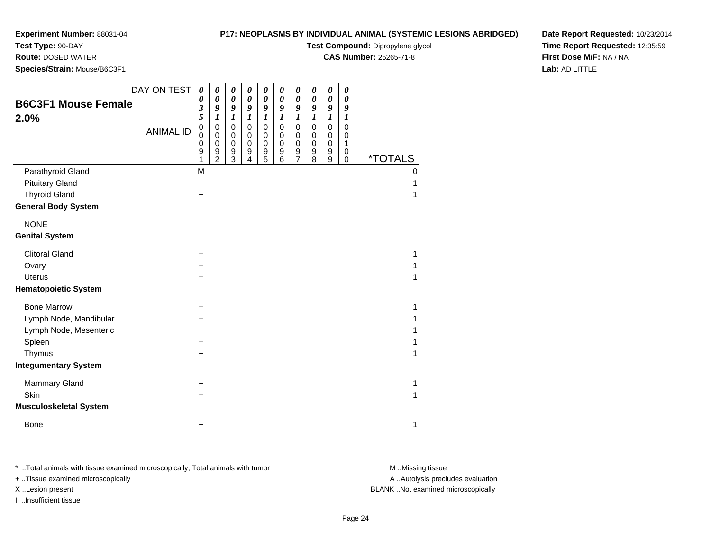**Test Type:** 90-DAY

**Route:** DOSED WATER

**Species/Strain:** Mouse/B6C3F1

## **P17: NEOPLASMS BY INDIVIDUAL ANIMAL (SYSTEMIC LESIONS ABRIDGED)**

**Test Compound:** Dipropylene glycol

**CAS Number:** 25265-71-8

**Date Report Requested:** 10/23/2014**Time Report Requested:** 12:35:59**First Dose M/F:** NA / NA**Lab:** AD LITTLE

| <b>B6C3F1 Mouse Female</b><br>2.0%<br>Parathyroid Gland | DAY ON TEST<br><b>ANIMAL ID</b> | $\boldsymbol{\theta}$<br>0<br>3<br>5<br>$\pmb{0}$<br>$\Omega$<br>0<br>9<br>1<br>M | $\boldsymbol{\theta}$<br>$\boldsymbol{\theta}$<br>9<br>1<br>$\pmb{0}$<br>0<br>$\mathbf 0$<br>$\boldsymbol{9}$<br>$\overline{2}$ | 0<br>$\boldsymbol{\theta}$<br>9<br>1<br>$\mathbf 0$<br>0<br>$\mathbf 0$<br>$\boldsymbol{9}$<br>3 | $\boldsymbol{\theta}$<br>$\boldsymbol{\theta}$<br>9<br>1<br>$\pmb{0}$<br>0<br>$\pmb{0}$<br>9<br>4 | 0<br>0<br>9<br>1<br>$\mathbf 0$<br>0<br>$\pmb{0}$<br>$\boldsymbol{9}$<br>5 | $\boldsymbol{\theta}$<br>$\boldsymbol{\theta}$<br>9<br>1<br>$\pmb{0}$<br>0<br>$\pmb{0}$<br>$\boldsymbol{9}$<br>6 | 0<br>$\pmb{\theta}$<br>9<br>1<br>$\pmb{0}$<br>0<br>$\pmb{0}$<br>$\boldsymbol{9}$<br>$\overline{7}$ | $\boldsymbol{\theta}$<br>$\boldsymbol{\theta}$<br>9<br>1<br>$\mathbf 0$<br>0<br>$\mathbf 0$<br>9<br>8 | $\boldsymbol{\theta}$<br>$\boldsymbol{\theta}$<br>9<br>$\boldsymbol{l}$<br>$\mathbf 0$<br>0<br>$\pmb{0}$<br>$\boldsymbol{9}$<br>9 | $\boldsymbol{\theta}$<br>$\boldsymbol{\theta}$<br>9<br>1<br>$\mathbf 0$<br>0<br>$\mathbf{1}$<br>0<br>$\mathbf 0$ | <i><b>*TOTALS</b></i><br>0 |
|---------------------------------------------------------|---------------------------------|-----------------------------------------------------------------------------------|---------------------------------------------------------------------------------------------------------------------------------|--------------------------------------------------------------------------------------------------|---------------------------------------------------------------------------------------------------|----------------------------------------------------------------------------|------------------------------------------------------------------------------------------------------------------|----------------------------------------------------------------------------------------------------|-------------------------------------------------------------------------------------------------------|-----------------------------------------------------------------------------------------------------------------------------------|------------------------------------------------------------------------------------------------------------------|----------------------------|
| <b>Pituitary Gland</b>                                  |                                 | $\ddot{}$                                                                         |                                                                                                                                 |                                                                                                  |                                                                                                   |                                                                            |                                                                                                                  |                                                                                                    |                                                                                                       |                                                                                                                                   |                                                                                                                  |                            |
| <b>Thyroid Gland</b>                                    |                                 | $\ddot{}$                                                                         |                                                                                                                                 |                                                                                                  |                                                                                                   |                                                                            |                                                                                                                  |                                                                                                    |                                                                                                       |                                                                                                                                   |                                                                                                                  | 1                          |
| <b>General Body System</b>                              |                                 |                                                                                   |                                                                                                                                 |                                                                                                  |                                                                                                   |                                                                            |                                                                                                                  |                                                                                                    |                                                                                                       |                                                                                                                                   |                                                                                                                  |                            |
| <b>NONE</b>                                             |                                 |                                                                                   |                                                                                                                                 |                                                                                                  |                                                                                                   |                                                                            |                                                                                                                  |                                                                                                    |                                                                                                       |                                                                                                                                   |                                                                                                                  |                            |
| <b>Genital System</b>                                   |                                 |                                                                                   |                                                                                                                                 |                                                                                                  |                                                                                                   |                                                                            |                                                                                                                  |                                                                                                    |                                                                                                       |                                                                                                                                   |                                                                                                                  |                            |
| <b>Clitoral Gland</b>                                   |                                 | $\ddot{}$                                                                         |                                                                                                                                 |                                                                                                  |                                                                                                   |                                                                            |                                                                                                                  |                                                                                                    |                                                                                                       |                                                                                                                                   |                                                                                                                  | 1                          |
| Ovary                                                   |                                 | +                                                                                 |                                                                                                                                 |                                                                                                  |                                                                                                   |                                                                            |                                                                                                                  |                                                                                                    |                                                                                                       |                                                                                                                                   |                                                                                                                  |                            |
| <b>Uterus</b>                                           |                                 | +                                                                                 |                                                                                                                                 |                                                                                                  |                                                                                                   |                                                                            |                                                                                                                  |                                                                                                    |                                                                                                       |                                                                                                                                   |                                                                                                                  |                            |
| <b>Hematopoietic System</b>                             |                                 |                                                                                   |                                                                                                                                 |                                                                                                  |                                                                                                   |                                                                            |                                                                                                                  |                                                                                                    |                                                                                                       |                                                                                                                                   |                                                                                                                  |                            |
| <b>Bone Marrow</b>                                      |                                 | +                                                                                 |                                                                                                                                 |                                                                                                  |                                                                                                   |                                                                            |                                                                                                                  |                                                                                                    |                                                                                                       |                                                                                                                                   |                                                                                                                  | 1                          |
| Lymph Node, Mandibular                                  |                                 | +                                                                                 |                                                                                                                                 |                                                                                                  |                                                                                                   |                                                                            |                                                                                                                  |                                                                                                    |                                                                                                       |                                                                                                                                   |                                                                                                                  |                            |
| Lymph Node, Mesenteric                                  |                                 | +                                                                                 |                                                                                                                                 |                                                                                                  |                                                                                                   |                                                                            |                                                                                                                  |                                                                                                    |                                                                                                       |                                                                                                                                   |                                                                                                                  |                            |
| Spleen                                                  |                                 | +                                                                                 |                                                                                                                                 |                                                                                                  |                                                                                                   |                                                                            |                                                                                                                  |                                                                                                    |                                                                                                       |                                                                                                                                   |                                                                                                                  |                            |
| Thymus                                                  |                                 | $\ddot{}$                                                                         |                                                                                                                                 |                                                                                                  |                                                                                                   |                                                                            |                                                                                                                  |                                                                                                    |                                                                                                       |                                                                                                                                   |                                                                                                                  |                            |
| <b>Integumentary System</b>                             |                                 |                                                                                   |                                                                                                                                 |                                                                                                  |                                                                                                   |                                                                            |                                                                                                                  |                                                                                                    |                                                                                                       |                                                                                                                                   |                                                                                                                  |                            |
| Mammary Gland                                           |                                 | $\ddot{}$                                                                         |                                                                                                                                 |                                                                                                  |                                                                                                   |                                                                            |                                                                                                                  |                                                                                                    |                                                                                                       |                                                                                                                                   |                                                                                                                  | 1                          |
| <b>Skin</b>                                             |                                 | $\ddot{}$                                                                         |                                                                                                                                 |                                                                                                  |                                                                                                   |                                                                            |                                                                                                                  |                                                                                                    |                                                                                                       |                                                                                                                                   |                                                                                                                  | 1                          |
| <b>Musculoskeletal System</b>                           |                                 |                                                                                   |                                                                                                                                 |                                                                                                  |                                                                                                   |                                                                            |                                                                                                                  |                                                                                                    |                                                                                                       |                                                                                                                                   |                                                                                                                  |                            |
| <b>Bone</b>                                             |                                 | $\ddot{}$                                                                         |                                                                                                                                 |                                                                                                  |                                                                                                   |                                                                            |                                                                                                                  |                                                                                                    |                                                                                                       |                                                                                                                                   |                                                                                                                  | 1                          |

\* ..Total animals with tissue examined microscopically; Total animals with tumor **M** . Missing tissue M ..Missing tissue

+ ..Tissue examined microscopically

I ..Insufficient tissue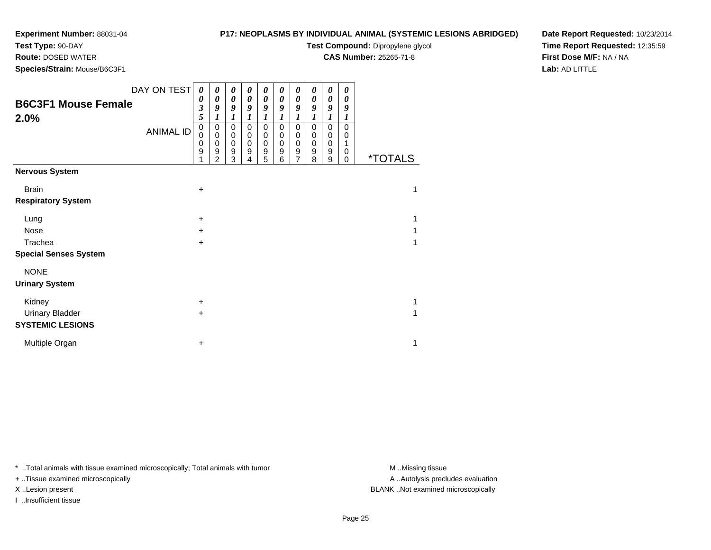**Test Type:** 90-DAY

**Route:** DOSED WATER

**Species/Strain:** Mouse/B6C3F1

## **P17: NEOPLASMS BY INDIVIDUAL ANIMAL (SYSTEMIC LESIONS ABRIDGED)**

**Test Compound:** Dipropylene glycol

**CAS Number:** 25265-71-8

**Date Report Requested:** 10/23/2014**Time Report Requested:** 12:35:59**First Dose M/F:** NA / NA**Lab:** AD LITTLE

| <b>B6C3F1 Mouse Female</b><br>2.0% | DAY ON TEST<br><b>ANIMAL ID</b> | 0<br>0<br>3<br>5<br>$\pmb{0}$<br>0<br>0<br>9 | 0<br>$\boldsymbol{\theta}$<br>9<br>1<br>$\mathbf 0$<br>$\pmb{0}$<br>$\mathbf 0$<br>9<br>$\overline{2}$ | $\boldsymbol{\theta}$<br>0<br>9<br>1<br>$\mathbf 0$<br>$\mathbf 0$<br>$\mathbf 0$<br>9<br>3 | 0<br>0<br>9<br>1<br>$\mathbf 0$<br>$\mathbf 0$<br>$\mathbf 0$<br>9<br>4 | $\boldsymbol{\theta}$<br>0<br>9<br>$\boldsymbol{l}$<br>$\mathbf 0$<br>$\mathbf 0$<br>$\mathbf 0$<br>9<br>5 | 0<br>0<br>9<br>1<br>$\pmb{0}$<br>$\pmb{0}$<br>$\pmb{0}$<br>$\boldsymbol{9}$<br>6 | 0<br>0<br>9<br>1<br>$\mathbf 0$<br>$\mathbf 0$<br>$\boldsymbol{0}$<br>$\boldsymbol{9}$<br>$\overline{7}$ | 0<br>0<br>9<br>1<br>$\pmb{0}$<br>$\pmb{0}$<br>$\pmb{0}$<br>$\boldsymbol{9}$<br>8 | 0<br>$\boldsymbol{\theta}$<br>9<br>1<br>$\mathbf 0$<br>$\mathbf 0$<br>$\pmb{0}$<br>$\boldsymbol{9}$<br>$\mathsf g$ | 0<br>$\boldsymbol{\theta}$<br>9<br>1<br>$\Omega$<br>0<br>1<br>0<br>$\mathbf 0$ | <i><b>*TOTALS</b></i> |  |
|------------------------------------|---------------------------------|----------------------------------------------|--------------------------------------------------------------------------------------------------------|---------------------------------------------------------------------------------------------|-------------------------------------------------------------------------|------------------------------------------------------------------------------------------------------------|----------------------------------------------------------------------------------|----------------------------------------------------------------------------------------------------------|----------------------------------------------------------------------------------|--------------------------------------------------------------------------------------------------------------------|--------------------------------------------------------------------------------|-----------------------|--|
| <b>Nervous System</b>              |                                 |                                              |                                                                                                        |                                                                                             |                                                                         |                                                                                                            |                                                                                  |                                                                                                          |                                                                                  |                                                                                                                    |                                                                                |                       |  |
| <b>Brain</b>                       |                                 | +                                            |                                                                                                        |                                                                                             |                                                                         |                                                                                                            |                                                                                  |                                                                                                          |                                                                                  |                                                                                                                    |                                                                                | 1                     |  |
| <b>Respiratory System</b>          |                                 |                                              |                                                                                                        |                                                                                             |                                                                         |                                                                                                            |                                                                                  |                                                                                                          |                                                                                  |                                                                                                                    |                                                                                |                       |  |
| Lung                               |                                 | +                                            |                                                                                                        |                                                                                             |                                                                         |                                                                                                            |                                                                                  |                                                                                                          |                                                                                  |                                                                                                                    |                                                                                | 1                     |  |
| Nose                               |                                 | +                                            |                                                                                                        |                                                                                             |                                                                         |                                                                                                            |                                                                                  |                                                                                                          |                                                                                  |                                                                                                                    |                                                                                |                       |  |
| Trachea                            |                                 | +                                            |                                                                                                        |                                                                                             |                                                                         |                                                                                                            |                                                                                  |                                                                                                          |                                                                                  |                                                                                                                    |                                                                                |                       |  |
| <b>Special Senses System</b>       |                                 |                                              |                                                                                                        |                                                                                             |                                                                         |                                                                                                            |                                                                                  |                                                                                                          |                                                                                  |                                                                                                                    |                                                                                |                       |  |
| <b>NONE</b>                        |                                 |                                              |                                                                                                        |                                                                                             |                                                                         |                                                                                                            |                                                                                  |                                                                                                          |                                                                                  |                                                                                                                    |                                                                                |                       |  |
| <b>Urinary System</b>              |                                 |                                              |                                                                                                        |                                                                                             |                                                                         |                                                                                                            |                                                                                  |                                                                                                          |                                                                                  |                                                                                                                    |                                                                                |                       |  |
| Kidney                             |                                 | +                                            |                                                                                                        |                                                                                             |                                                                         |                                                                                                            |                                                                                  |                                                                                                          |                                                                                  |                                                                                                                    |                                                                                | 1                     |  |
| <b>Urinary Bladder</b>             |                                 | $\pm$                                        |                                                                                                        |                                                                                             |                                                                         |                                                                                                            |                                                                                  |                                                                                                          |                                                                                  |                                                                                                                    |                                                                                |                       |  |
| <b>SYSTEMIC LESIONS</b>            |                                 |                                              |                                                                                                        |                                                                                             |                                                                         |                                                                                                            |                                                                                  |                                                                                                          |                                                                                  |                                                                                                                    |                                                                                |                       |  |
| Multiple Organ                     |                                 | +                                            |                                                                                                        |                                                                                             |                                                                         |                                                                                                            |                                                                                  |                                                                                                          |                                                                                  |                                                                                                                    |                                                                                | 1                     |  |

\* ..Total animals with tissue examined microscopically; Total animals with tumor **M** . Missing tissue M ..Missing tissue

+ ..Tissue examined microscopically

I ..Insufficient tissue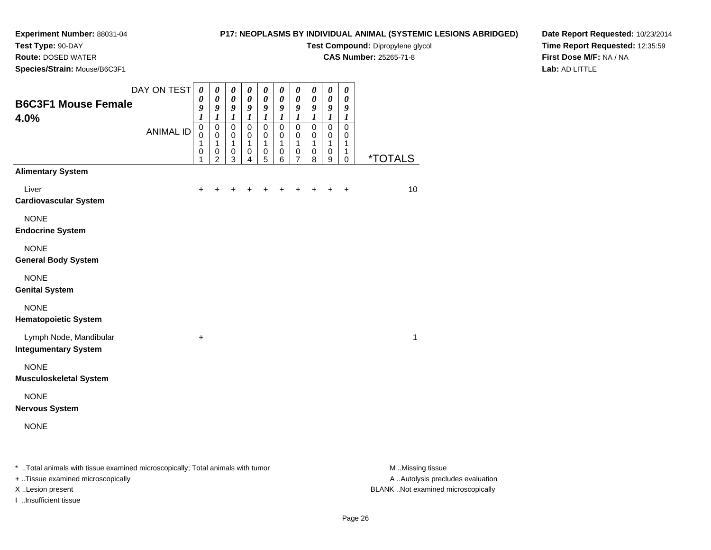# **Test Type:** 90-DAY

**Route:** DOSED WATER

**Species/Strain:** Mouse/B6C3F1

## **P17: NEOPLASMS BY INDIVIDUAL ANIMAL (SYSTEMIC LESIONS ABRIDGED)**

**Test Compound:** Dipropylene glycol

**CAS Number:** 25265-71-8

**Date Report Requested:** 10/23/2014**Time Report Requested:** 12:35:59**First Dose M/F:** NA / NA**Lab:** AD LITTLE

| <b>B6C3F1 Mouse Female</b><br>4.0%                                             | DAY ON TEST      | $\boldsymbol{\theta}$<br>0<br>9<br>1          | 0<br>$\pmb{\theta}$<br>9<br>1                       | $\pmb{\theta}$<br>$\pmb{\theta}$<br>9<br>$\boldsymbol{l}$ | 0<br>$\pmb{\theta}$<br>9<br>1   | 0<br>$\pmb{\theta}$<br>9<br>1       | 0<br>$\pmb{\theta}$<br>9<br>$\boldsymbol{l}$ | $\boldsymbol{\theta}$<br>$\boldsymbol{\theta}$<br>9<br>1       | 0<br>$\pmb{\theta}$<br>9<br>1         | 0<br>$\boldsymbol{\theta}$<br>9<br>1            | 0<br>$\boldsymbol{\theta}$<br>9<br>1    |                       |
|--------------------------------------------------------------------------------|------------------|-----------------------------------------------|-----------------------------------------------------|-----------------------------------------------------------|---------------------------------|-------------------------------------|----------------------------------------------|----------------------------------------------------------------|---------------------------------------|-------------------------------------------------|-----------------------------------------|-----------------------|
|                                                                                | <b>ANIMAL ID</b> | $\pmb{0}$<br>$\mathbf 0$<br>1<br>$\,0\,$<br>1 | 0<br>$\mathbf 0$<br>1<br>$\pmb{0}$<br>$\mathcal{P}$ | $\mathbf 0$<br>0<br>1<br>$\pmb{0}$<br>3                   | $\mathbf 0$<br>0<br>1<br>0<br>4 | $\pmb{0}$<br>0<br>1<br>$\,0\,$<br>5 | $\pmb{0}$<br>0<br>1<br>$\,0\,$<br>6          | $\mathbf 0$<br>$\mathbf 0$<br>1<br>$\pmb{0}$<br>$\overline{7}$ | $\pmb{0}$<br>0<br>1<br>$\pmb{0}$<br>8 | $\pmb{0}$<br>$\mathbf 0$<br>1<br>$\pmb{0}$<br>9 | $\pmb{0}$<br>0<br>1<br>1<br>$\mathbf 0$ | <i><b>*TOTALS</b></i> |
| <b>Alimentary System</b>                                                       |                  |                                               |                                                     |                                                           |                                 |                                     |                                              |                                                                |                                       |                                                 |                                         |                       |
| Liver<br><b>Cardiovascular System</b>                                          |                  | ٠                                             |                                                     |                                                           |                                 |                                     |                                              |                                                                |                                       |                                                 | $\ddot{}$                               | 10                    |
| <b>NONE</b><br><b>Endocrine System</b>                                         |                  |                                               |                                                     |                                                           |                                 |                                     |                                              |                                                                |                                       |                                                 |                                         |                       |
| <b>NONE</b><br><b>General Body System</b>                                      |                  |                                               |                                                     |                                                           |                                 |                                     |                                              |                                                                |                                       |                                                 |                                         |                       |
| <b>NONE</b><br><b>Genital System</b>                                           |                  |                                               |                                                     |                                                           |                                 |                                     |                                              |                                                                |                                       |                                                 |                                         |                       |
| <b>NONE</b><br><b>Hematopoietic System</b>                                     |                  |                                               |                                                     |                                                           |                                 |                                     |                                              |                                                                |                                       |                                                 |                                         |                       |
| Lymph Node, Mandibular<br><b>Integumentary System</b>                          |                  | +                                             |                                                     |                                                           |                                 |                                     |                                              |                                                                |                                       |                                                 |                                         | 1                     |
| <b>NONE</b><br><b>Musculoskeletal System</b>                                   |                  |                                               |                                                     |                                                           |                                 |                                     |                                              |                                                                |                                       |                                                 |                                         |                       |
| <b>NONE</b><br><b>Nervous System</b>                                           |                  |                                               |                                                     |                                                           |                                 |                                     |                                              |                                                                |                                       |                                                 |                                         |                       |
| <b>NONE</b>                                                                    |                  |                                               |                                                     |                                                           |                                 |                                     |                                              |                                                                |                                       |                                                 |                                         |                       |
| * Total animals with tissue examined microscopically; Total animals with tumor |                  |                                               |                                                     |                                                           |                                 |                                     |                                              |                                                                |                                       |                                                 |                                         | M Missing tissue      |

+ ..Tissue examined microscopically

I ..Insufficient tissue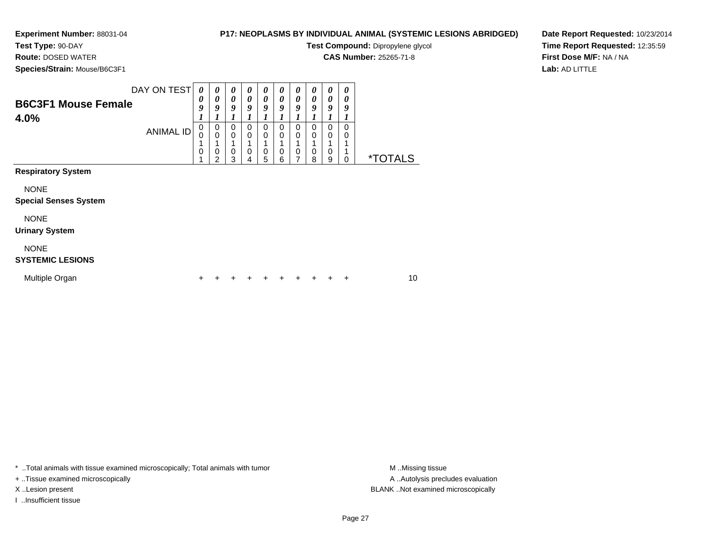**Test Type:** 90-DAY**Route:** DOSED WATER

# **P17: NEOPLASMS BY INDIVIDUAL ANIMAL (SYSTEMIC LESIONS ABRIDGED)**

**Test Compound:** Dipropylene glycol

**CAS Number:** 25265-71-8

**Species/Strain:** Mouse/B6C3F1

**Date Report Requested:** 10/23/2014**Time Report Requested:** 12:35:59**First Dose M/F:** NA / NA**Lab:** AD LITTLE

| DAY ON TEST<br><b>B6C3F1 Mouse Female</b><br>4.0% | 0<br>0<br>9<br>0 | 0<br>0<br>9<br>1<br>0 | $\boldsymbol{\theta}$<br>$\boldsymbol{\theta}$<br>9<br>$\mathbf 0$ | $\boldsymbol{\theta}$<br>0<br>9<br>$\mathbf 0$ | 0<br>0<br>9<br>0 | 0<br>0<br>9<br>0 | 0<br>0<br>9<br>0 | $\theta$<br>0<br>9<br>0 | 0<br>0<br>9<br>0 | 0<br>0<br>9<br>$\Omega$ |                       |
|---------------------------------------------------|------------------|-----------------------|--------------------------------------------------------------------|------------------------------------------------|------------------|------------------|------------------|-------------------------|------------------|-------------------------|-----------------------|
| <b>ANIMAL ID</b>                                  | 0<br>4<br>0      | $\mathbf 0$<br>0<br>2 | $\mathbf 0$<br>$\mathbf 0$<br>3                                    | $\mathbf 0$<br>0<br>4                          | 0<br>0<br>5      | 0<br>0<br>6      | 0<br>0<br>7      | 0<br>0<br>8             | 0<br>0<br>9      | 0<br>0                  | <i><b>*TOTALS</b></i> |
| <b>Respiratory System</b>                         |                  |                       |                                                                    |                                                |                  |                  |                  |                         |                  |                         |                       |
| <b>NONE</b><br><b>Special Senses System</b>       |                  |                       |                                                                    |                                                |                  |                  |                  |                         |                  |                         |                       |
| <b>NONE</b><br><b>Urinary System</b>              |                  |                       |                                                                    |                                                |                  |                  |                  |                         |                  |                         |                       |
| <b>NONE</b><br><b>SYSTEMIC LESIONS</b>            |                  |                       |                                                                    |                                                |                  |                  |                  |                         |                  |                         |                       |
| Multiple Organ                                    | +                |                       |                                                                    |                                                |                  |                  |                  |                         | +                | $\ddot{}$               | 10                    |

\* ..Total animals with tissue examined microscopically; Total animals with tumor **M** . Missing tissue M ..Missing tissue

+ ..Tissue examined microscopically

I ..Insufficient tissue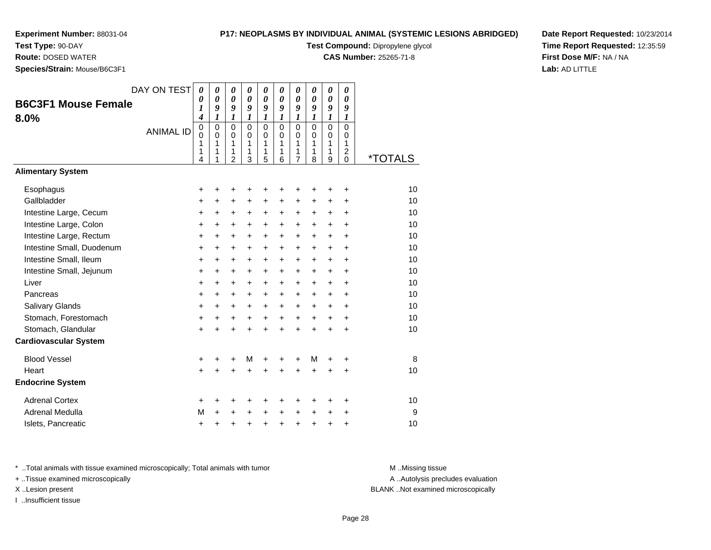**Test Type:** 90-DAY

**Route:** DOSED WATER

**Species/Strain:** Mouse/B6C3F1

## **P17: NEOPLASMS BY INDIVIDUAL ANIMAL (SYSTEMIC LESIONS ABRIDGED)**

**Test Compound:** Dipropylene glycol

**CAS Number:** 25265-71-8

**Date Report Requested:** 10/23/2014**Time Report Requested:** 12:35:59**First Dose M/F:** NA / NA**Lab:** AD LITTLE

| <b>B6C3F1 Mouse Female</b><br>8.0% | DAY ON TEST<br><b>ANIMAL ID</b> | 0<br>0<br>1<br>4<br>0<br>0<br>1<br>1<br>4 | 0<br>0<br>9<br>$\boldsymbol{l}$<br>0<br>$\pmb{0}$<br>1<br>1 | 0<br>$\boldsymbol{\theta}$<br>9<br>$\boldsymbol{l}$<br>$\Omega$<br>$\pmb{0}$<br>1<br>1<br>$\overline{2}$ | 0<br>$\boldsymbol{\theta}$<br>9<br>$\boldsymbol{l}$<br>$\Omega$<br>$\mathbf 0$<br>1<br>1<br>3 | 0<br>$\boldsymbol{\theta}$<br>9<br>$\boldsymbol{l}$<br>$\mathbf 0$<br>$\mathbf 0$<br>1<br>1<br>5 | 0<br>0<br>9<br>$\boldsymbol{l}$<br>$\Omega$<br>$\mathbf 0$<br>1<br>1<br>6 | 0<br>0<br>9<br>1<br>$\Omega$<br>$\mathbf 0$<br>1<br>1<br>$\overline{7}$ | 0<br>0<br>9<br>1<br>$\Omega$<br>$\mathbf 0$<br>1<br>1<br>8 | 0<br>$\boldsymbol{\theta}$<br>9<br>$\boldsymbol{l}$<br>$\mathbf 0$<br>$\pmb{0}$<br>1<br>1<br>9 | 0<br>0<br>9<br>$\boldsymbol{l}$<br>$\Omega$<br>$\mathbf 0$<br>1<br>$\overline{c}$<br>$\Omega$ | <i><b>*TOTALS</b></i> |
|------------------------------------|---------------------------------|-------------------------------------------|-------------------------------------------------------------|----------------------------------------------------------------------------------------------------------|-----------------------------------------------------------------------------------------------|--------------------------------------------------------------------------------------------------|---------------------------------------------------------------------------|-------------------------------------------------------------------------|------------------------------------------------------------|------------------------------------------------------------------------------------------------|-----------------------------------------------------------------------------------------------|-----------------------|
| <b>Alimentary System</b>           |                                 |                                           |                                                             |                                                                                                          |                                                                                               |                                                                                                  |                                                                           |                                                                         |                                                            |                                                                                                |                                                                                               |                       |
| Esophagus                          |                                 | +                                         | +                                                           | +                                                                                                        | +                                                                                             | +                                                                                                | +                                                                         | +                                                                       | +                                                          | +                                                                                              | $\ddot{}$                                                                                     | 10                    |
| Gallbladder                        |                                 | +                                         | $\ddot{}$                                                   | $\ddot{}$                                                                                                | +                                                                                             | +                                                                                                | +                                                                         | +                                                                       | +                                                          | +                                                                                              | $\ddot{}$                                                                                     | 10                    |
| Intestine Large, Cecum             |                                 | +                                         | +                                                           | +                                                                                                        | +                                                                                             | +                                                                                                | +                                                                         | +                                                                       | $\pm$                                                      | $\ddot{}$                                                                                      | $\ddot{}$                                                                                     | 10                    |
| Intestine Large, Colon             |                                 | $\ddot{}$                                 | $\ddot{}$                                                   | +                                                                                                        | $\ddot{}$                                                                                     | $\ddot{}$                                                                                        | $\ddot{}$                                                                 | $\ddot{}$                                                               | $\ddot{}$                                                  | $\ddot{}$                                                                                      | $\ddot{}$                                                                                     | 10                    |
| Intestine Large, Rectum            |                                 | $\ddot{}$                                 | +                                                           | $\ddot{}$                                                                                                | $\ddot{}$                                                                                     | $\ddot{}$                                                                                        | $\ddot{}$                                                                 | $\ddot{}$                                                               | $\ddot{}$                                                  | $\ddot{}$                                                                                      | $\ddot{}$                                                                                     | 10                    |
| Intestine Small, Duodenum          |                                 | $\ddot{}$                                 | $\ddot{}$                                                   | $\ddot{}$                                                                                                | $\ddot{}$                                                                                     | $\ddot{}$                                                                                        | $\ddot{}$                                                                 | $\ddot{}$                                                               | $\ddot{}$                                                  | $\ddot{}$                                                                                      | $\ddot{}$                                                                                     | 10                    |
| Intestine Small, Ileum             |                                 | $\ddot{}$                                 | $\ddot{}$                                                   | $\ddot{}$                                                                                                | $\ddot{}$                                                                                     | $\ddot{}$                                                                                        | $\ddot{}$                                                                 | $\ddot{}$                                                               | $\ddot{}$                                                  | $\ddot{}$                                                                                      | $\ddot{}$                                                                                     | 10                    |
| Intestine Small, Jejunum           |                                 | $\ddot{}$                                 | $\ddot{}$                                                   | $\ddot{}$                                                                                                | $\ddot{}$                                                                                     | $\ddot{}$                                                                                        | $\ddot{}$                                                                 | $\ddot{}$                                                               | $\ddot{}$                                                  | $\ddot{}$                                                                                      | $\ddot{}$                                                                                     | 10                    |
| Liver                              |                                 | +                                         | $\ddot{}$                                                   | $\ddot{}$                                                                                                | $\ddot{}$                                                                                     | $\ddot{}$                                                                                        | +                                                                         | $\ddot{}$                                                               | $\ddot{}$                                                  | $\ddot{}$                                                                                      | $\ddot{}$                                                                                     | 10                    |
| Pancreas                           |                                 | $\ddot{}$                                 | $\ddot{}$                                                   | $\ddot{}$                                                                                                | $\ddot{}$                                                                                     | $\ddot{}$                                                                                        | $\ddot{}$                                                                 | $\ddot{}$                                                               | $\ddot{}$                                                  | $+$                                                                                            | $\ddot{}$                                                                                     | 10                    |
| <b>Salivary Glands</b>             |                                 | $\ddot{}$                                 | $\ddot{}$                                                   | $\ddot{}$                                                                                                | $\ddot{}$                                                                                     | $\ddot{}$                                                                                        | $\ddot{}$                                                                 | $\ddot{}$                                                               | $+$                                                        | $+$                                                                                            | $+$                                                                                           | 10                    |
| Stomach, Forestomach               |                                 | $\ddot{}$                                 | $\ddot{}$                                                   | $\ddot{}$                                                                                                | $\ddot{}$                                                                                     | $\ddot{}$                                                                                        | $\ddot{}$                                                                 | $\ddot{}$                                                               | $\ddot{}$                                                  | $+$                                                                                            | $+$                                                                                           | 10                    |
| Stomach, Glandular                 |                                 | $\ddot{}$                                 | $\ddot{}$                                                   | $\ddot{}$                                                                                                | ÷                                                                                             | $\ddot{}$                                                                                        | $\ddot{}$                                                                 | $\ddot{}$                                                               | $\ddot{}$                                                  | $+$                                                                                            | $\ddot{}$                                                                                     | 10                    |
| <b>Cardiovascular System</b>       |                                 |                                           |                                                             |                                                                                                          |                                                                                               |                                                                                                  |                                                                           |                                                                         |                                                            |                                                                                                |                                                                                               |                       |
| <b>Blood Vessel</b>                |                                 | +                                         | +                                                           | +                                                                                                        | M                                                                                             | +                                                                                                | +                                                                         | +                                                                       | М                                                          | +                                                                                              | $\ddot{}$                                                                                     | 8                     |
| Heart                              |                                 | $\ddot{}$                                 |                                                             | $\ddot{}$                                                                                                |                                                                                               |                                                                                                  |                                                                           | $\ddot{}$                                                               | $\ddot{}$                                                  | $\ddot{}$                                                                                      | $\ddot{}$                                                                                     | 10                    |
| <b>Endocrine System</b>            |                                 |                                           |                                                             |                                                                                                          |                                                                                               |                                                                                                  |                                                                           |                                                                         |                                                            |                                                                                                |                                                                                               |                       |
| <b>Adrenal Cortex</b>              |                                 | +                                         | +                                                           | +                                                                                                        | +                                                                                             | +                                                                                                | +                                                                         | +                                                                       | +                                                          | +                                                                                              | +                                                                                             | 10                    |
| Adrenal Medulla                    |                                 | M                                         | +                                                           | +                                                                                                        |                                                                                               | +                                                                                                | +                                                                         | +                                                                       | +                                                          | +                                                                                              | +                                                                                             | 9                     |
| Islets, Pancreatic                 |                                 | +                                         | +                                                           | +                                                                                                        | +                                                                                             | +                                                                                                | +                                                                         | +                                                                       | +                                                          | +                                                                                              | +                                                                                             | 10                    |

\* ..Total animals with tissue examined microscopically; Total animals with tumor **M** . Missing tissue M ..Missing tissue

+ ..Tissue examined microscopically

I ..Insufficient tissue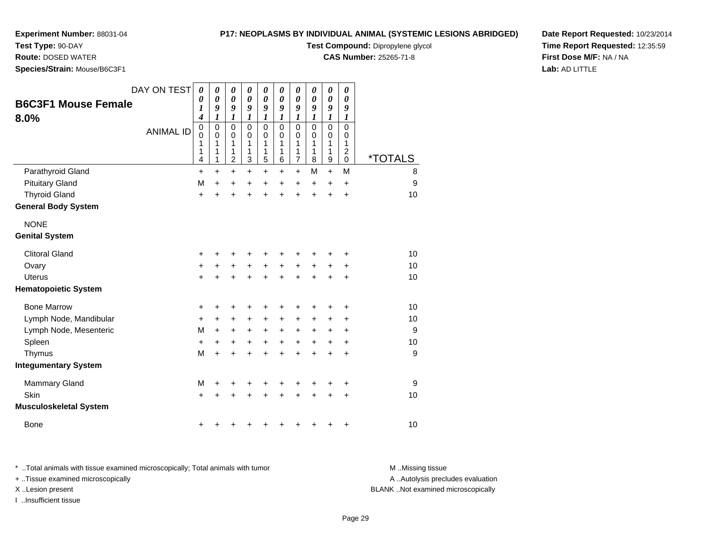# **Test Type:** 90-DAY

**Route:** DOSED WATER

**Species/Strain:** Mouse/B6C3F1

## **P17: NEOPLASMS BY INDIVIDUAL ANIMAL (SYSTEMIC LESIONS ABRIDGED)**

**Test Compound:** Dipropylene glycol

**CAS Number:** 25265-71-8

**Date Report Requested:** 10/23/2014**Time Report Requested:** 12:35:59**First Dose M/F:** NA / NA**Lab:** AD LITTLE

| <b>B6C3F1 Mouse Female</b><br>8.0% | DAY ON TEST      | $\boldsymbol{\theta}$<br>$\boldsymbol{\theta}$<br>$\boldsymbol{l}$<br>$\boldsymbol{4}$ | $\boldsymbol{\theta}$<br>$\boldsymbol{\theta}$<br>9<br>1 | $\boldsymbol{\theta}$<br>$\boldsymbol{\theta}$<br>9<br>1 | $\boldsymbol{\theta}$<br>$\boldsymbol{\theta}$<br>9<br>$\boldsymbol{l}$ | 0<br>$\boldsymbol{\theta}$<br>9<br>1 | 0<br>$\boldsymbol{\theta}$<br>9<br>$\boldsymbol{l}$ | 0<br>0<br>9<br>$\boldsymbol{l}$    | 0<br>$\boldsymbol{\theta}$<br>9<br>$\boldsymbol{l}$ | 0<br>$\boldsymbol{\theta}$<br>9<br>1 | 0<br>0<br>9<br>1                    |                       |
|------------------------------------|------------------|----------------------------------------------------------------------------------------|----------------------------------------------------------|----------------------------------------------------------|-------------------------------------------------------------------------|--------------------------------------|-----------------------------------------------------|------------------------------------|-----------------------------------------------------|--------------------------------------|-------------------------------------|-----------------------|
|                                    | <b>ANIMAL ID</b> | $\pmb{0}$<br>0<br>1<br>1<br>4                                                          | $\mathbf 0$<br>0<br>1<br>1<br>1                          | $\mathbf 0$<br>0<br>1<br>1<br>$\overline{c}$             | $\mathbf 0$<br>0<br>1<br>1<br>3                                         | $\mathbf 0$<br>0<br>1<br>1<br>5      | $\mathbf 0$<br>$\Omega$<br>1<br>1<br>6              | 0<br>0<br>1<br>1<br>$\overline{7}$ | $\Omega$<br>0<br>1<br>1<br>8                        | $\mathbf 0$<br>0<br>1<br>1<br>9      | $\Omega$<br>0<br>1<br>$\frac{2}{0}$ | <i><b>*TOTALS</b></i> |
| Parathyroid Gland                  |                  | $\ddot{}$                                                                              | $\ddot{}$                                                | $\ddot{}$                                                | $\ddot{}$                                                               | +                                    | $\ddot{}$                                           | $\ddot{}$                          | М                                                   | $\ddot{}$                            | M                                   | 8                     |
| <b>Pituitary Gland</b>             |                  | M                                                                                      | $\ddot{}$                                                | +                                                        | $\ddot{}$                                                               | +                                    | $\ddot{}$                                           | $\ddot{}$                          | $\ddot{}$                                           | $\ddot{}$                            | $\ddot{}$                           | 9                     |
| <b>Thyroid Gland</b>               |                  | $\ddot{}$                                                                              | $\ddot{}$                                                | $\ddot{}$                                                | $\ddot{}$                                                               | $\ddot{}$                            | $\ddot{}$                                           | $\ddot{}$                          | $\ddot{}$                                           | $\ddot{}$                            | $\ddot{}$                           | 10                    |
| <b>General Body System</b>         |                  |                                                                                        |                                                          |                                                          |                                                                         |                                      |                                                     |                                    |                                                     |                                      |                                     |                       |
| <b>NONE</b>                        |                  |                                                                                        |                                                          |                                                          |                                                                         |                                      |                                                     |                                    |                                                     |                                      |                                     |                       |
| <b>Genital System</b>              |                  |                                                                                        |                                                          |                                                          |                                                                         |                                      |                                                     |                                    |                                                     |                                      |                                     |                       |
| <b>Clitoral Gland</b>              |                  | +                                                                                      |                                                          |                                                          |                                                                         |                                      |                                                     | ٠                                  |                                                     |                                      | +                                   | 10                    |
| Ovary                              |                  | $\ddot{}$                                                                              | +                                                        | +                                                        | +                                                                       | +                                    | $\ddot{}$                                           | +                                  | +                                                   | +                                    | +                                   | 10                    |
| <b>Uterus</b>                      |                  | $\ddot{}$                                                                              |                                                          |                                                          |                                                                         | $\ddot{}$                            |                                                     | $\ddot{}$                          | ÷                                                   | $\ddot{}$                            | $\ddot{}$                           | 10                    |
| <b>Hematopoietic System</b>        |                  |                                                                                        |                                                          |                                                          |                                                                         |                                      |                                                     |                                    |                                                     |                                      |                                     |                       |
| <b>Bone Marrow</b>                 |                  | +                                                                                      | +                                                        | +                                                        | +                                                                       | +                                    | +                                                   | +                                  | +                                                   | +                                    | +                                   | 10                    |
| Lymph Node, Mandibular             |                  | +                                                                                      | $\ddot{}$                                                | $\ddot{}$                                                | $\ddot{}$                                                               | +                                    | $\ddot{}$                                           | +                                  | +                                                   | +                                    | +                                   | 10                    |
| Lymph Node, Mesenteric             |                  | M                                                                                      | $\ddot{}$                                                | +                                                        | +                                                                       | +                                    | +                                                   | +                                  | +                                                   | +                                    | +                                   | 9                     |
| Spleen                             |                  | $\ddot{}$                                                                              | $\ddot{}$                                                | +                                                        | +                                                                       | +                                    | $\ddot{}$                                           | $\ddot{}$                          | $\ddot{}$                                           | $\ddot{}$                            | $\ddot{}$                           | 10                    |
| Thymus                             |                  | M                                                                                      | $\ddot{}$                                                | +                                                        | +                                                                       | $\ddot{}$                            | $\ddot{}$                                           | $\ddot{}$                          | $\ddot{}$                                           | $\ddot{}$                            | $\ddot{}$                           | 9                     |
| <b>Integumentary System</b>        |                  |                                                                                        |                                                          |                                                          |                                                                         |                                      |                                                     |                                    |                                                     |                                      |                                     |                       |
| <b>Mammary Gland</b>               |                  | M                                                                                      | +                                                        | +                                                        | +                                                                       | +                                    | +                                                   | +                                  | +                                                   | +                                    | +                                   | 9                     |
| Skin                               |                  | $\ddot{}$                                                                              |                                                          |                                                          |                                                                         |                                      |                                                     | +                                  |                                                     | +                                    | $\ddot{}$                           | 10                    |
| <b>Musculoskeletal System</b>      |                  |                                                                                        |                                                          |                                                          |                                                                         |                                      |                                                     |                                    |                                                     |                                      |                                     |                       |
| <b>Bone</b>                        |                  | +                                                                                      |                                                          |                                                          |                                                                         |                                      |                                                     | +                                  | +                                                   | +                                    | +                                   | 10                    |

\* ..Total animals with tissue examined microscopically; Total animals with tumor **M** . Missing tissue M ..Missing tissue

+ ..Tissue examined microscopically

I ..Insufficient tissue